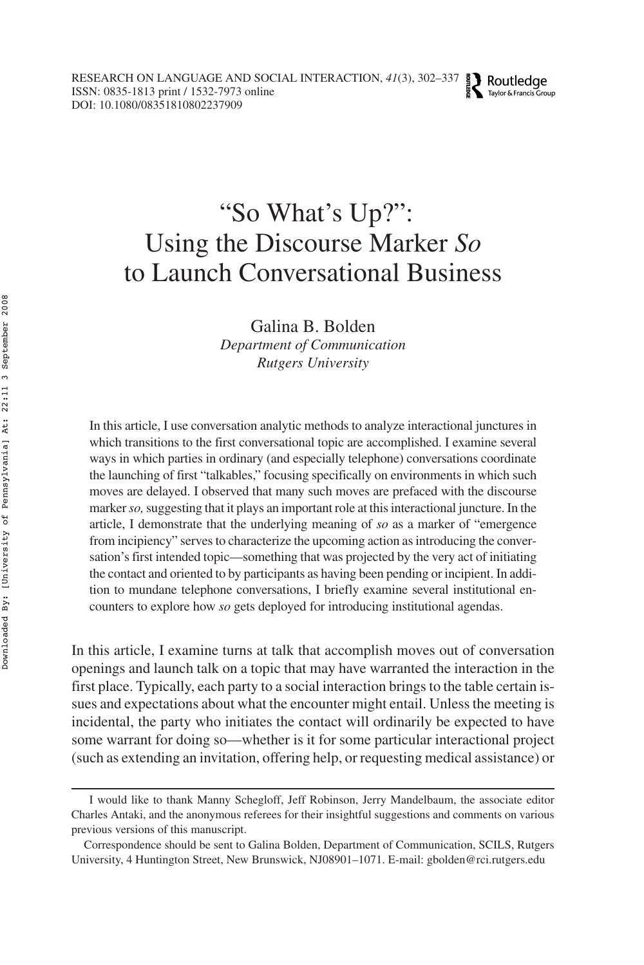# "So What's Up?": Using the Discourse Marker *So* to Launch Conversational Business

Galina B. Bolden

*Department of Communication Rutgers University*

In this article, I use conversation analytic methods to analyze interactional junctures in which transitions to the first conversational topic are accomplished. I examine several ways in which parties in ordinary (and especially telephone) conversations coordinate the launching of first "talkables," focusing specifically on environments in which such moves are delayed. I observed that many such moves are prefaced with the discourse marker*so,*suggesting that it plays an important role at this interactional juncture. In the article, I demonstrate that the underlying meaning of *so* as a marker of "emergence from incipiency" serves to characterize the upcoming action as introducing the conversation's first intended topic—something that was projected by the very act of initiating the contact and oriented to by participants as having been pending or incipient. In addition to mundane telephone conversations, I briefly examine several institutional encounters to explore how *so* gets deployed for introducing institutional agendas.

In this article, I examine turns at talk that accomplish moves out of conversation openings and launch talk on a topic that may have warranted the interaction in the first place. Typically, each party to a social interaction brings to the table certain issues and expectations about what the encounter might entail. Unless the meeting is incidental, the party who initiates the contact will ordinarily be expected to have some warrant for doing so—whether is it for some particular interactional project (such as extending an invitation, offering help, or requesting medical assistance) or

I would like to thank Manny Schegloff, Jeff Robinson, Jerry Mandelbaum, the associate editor Charles Antaki, and the anonymous referees for their insightful suggestions and comments on various previous versions of this manuscript.

Correspondence should be sent to Galina Bolden, Department of Communication, SCILS, Rutgers University, 4 Huntington Street, New Brunswick, NJ08901–1071. E-mail: gbolden@rci.rutgers.edu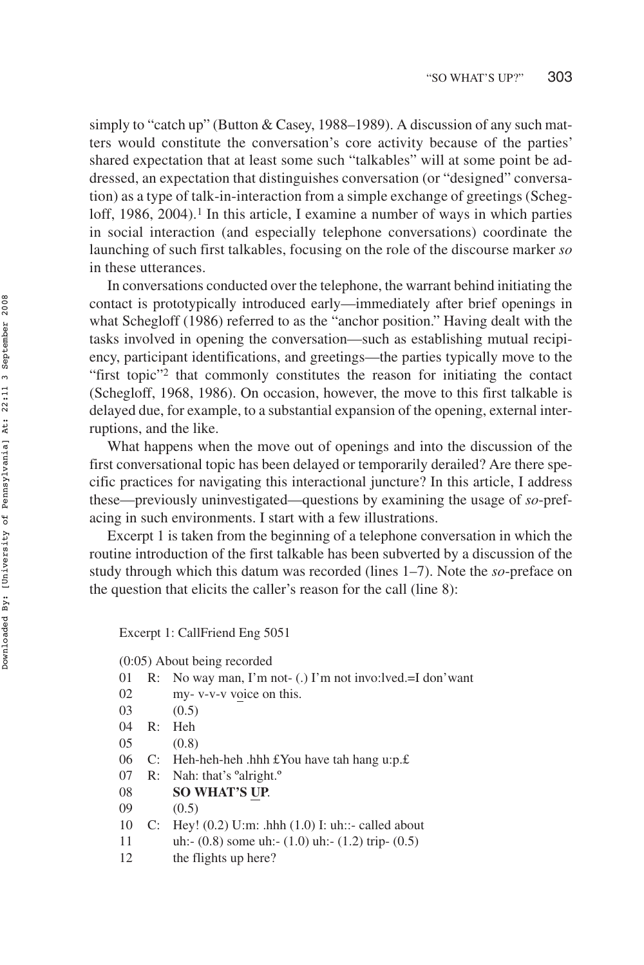simply to "catch up" (Button & Casey, 1988–1989). A discussion of any such matters would constitute the conversation's core activity because of the parties' shared expectation that at least some such "talkables" will at some point be addressed, an expectation that distinguishes conversation (or "designed" conversation) as a type of talk-in-interaction from a simple exchange of greetings (Schegloff,  $1986, 2004$ .<sup>1</sup> In this article, I examine a number of ways in which parties in social interaction (and especially telephone conversations) coordinate the launching of such first talkables, focusing on the role of the discourse marker *so* in these utterances.

In conversations conducted over the telephone, the warrant behind initiating the contact is prototypically introduced early—immediately after brief openings in what Schegloff (1986) referred to as the "anchor position." Having dealt with the tasks involved in opening the conversation—such as establishing mutual recipiency, participant identifications, and greetings—the parties typically move to the "first topic"2 that commonly constitutes the reason for initiating the contact (Schegloff, 1968, 1986). On occasion, however, the move to this first talkable is delayed due, for example, to a substantial expansion of the opening, external interruptions, and the like.

What happens when the move out of openings and into the discussion of the first conversational topic has been delayed or temporarily derailed? Are there specific practices for navigating this interactional juncture? In this article, I address these—previously uninvestigated—questions by examining the usage of *so*-prefacing in such environments. I start with a few illustrations.

Excerpt 1 is taken from the beginning of a telephone conversation in which the routine introduction of the first talkable has been subverted by a discussion of the study through which this datum was recorded (lines 1–7). Note the *so*-preface on the question that elicits the caller's reason for the call (line 8):

Excerpt 1: CallFriend Eng 5051

(0:05) About being recorded

- 01 R: No way man, I'm not- (.) I'm not invo:lved.=I don'want
- 02 my- v-v-v voice on this.
- 03 (0.5)
- 04 R: Heh
- 05 (0.8)
- 06 C: Heh-heh-heh .hhh £You have tah hang u:p.£
- 07 R: Nah: that's ºalright.º
- 08 **SO WHAT'S UP**.
- 09 (0.5)
- 10 C: Hey! (0.2) U:m: .hhh (1.0) I: uh::- called about
- 11 uh:- (0.8) some uh:- (1.0) uh:- (1.2) trip- (0.5)
- 12 the flights up here?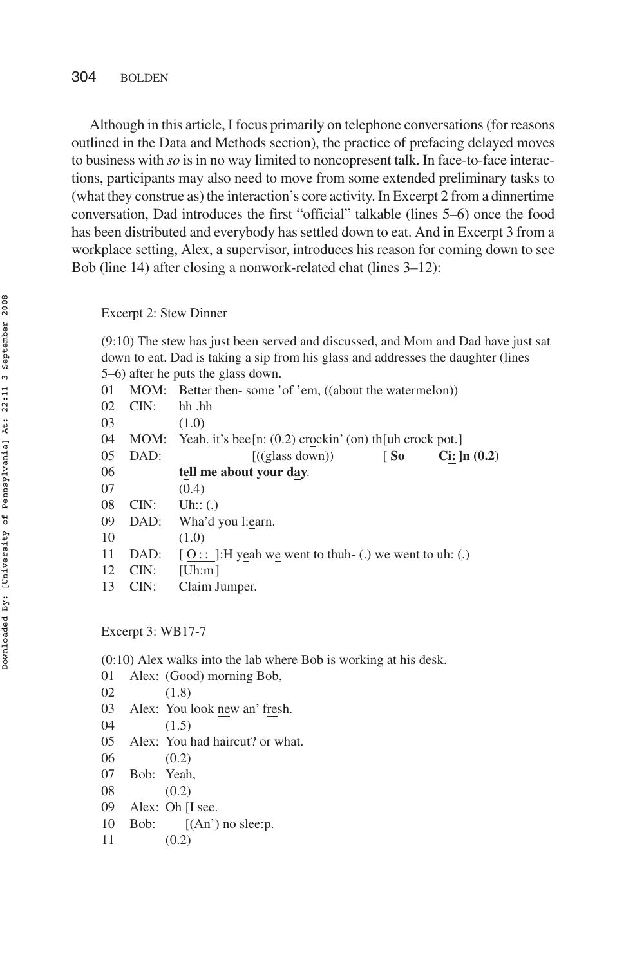Although in this article, I focus primarily on telephone conversations (for reasons outlined in the Data and Methods section), the practice of prefacing delayed moves to business with *so* is in no way limited to noncopresent talk. In face-to-face interactions, participants may also need to move from some extended preliminary tasks to (what they construe as) the interaction's core activity. In Excerpt 2 from a dinnertime conversation, Dad introduces the first "official" talkable (lines 5–6) once the food has been distributed and everybody has settled down to eat. And in Excerpt 3 from a workplace setting, Alex, a supervisor, introduces his reason for coming down to see Bob (line 14) after closing a nonwork-related chat (lines 3–12):

#### Excerpt 2: Stew Dinner

(9:10) The stew has just been served and discussed, and Mom and Dad have just sat down to eat. Dad is taking a sip from his glass and addresses the daughter (lines 5–6) after he puts the glass down.

| 01 |      | MOM: Better then-some 'of 'em, ((about the watermelon))      |
|----|------|--------------------------------------------------------------|
| 02 | CIN: | hh .hh                                                       |
| 03 |      | (1.0)                                                        |
| 04 | MOM: | Yeah. it's bee [n: $(0.2)$ crockin' (on) the luh crock pot.] |
| 05 | DAD: | ((glass down))<br>$Ci: \ln(0.2)$<br>$\sqrt{50}$              |
| 06 |      | tell me about your day.                                      |
| 07 |      | (0.4)                                                        |
| 08 | CIN: | Uh:: $(.)$                                                   |
| 09 | DAD: | Wha'd you l:earn.                                            |
| 10 |      | (1.0)                                                        |
| 11 | DAD: | $[0:]:$ Example 1: The V incompose went to use West Eq. (2)  |
| 12 | CIN: | [Uh:m]                                                       |
| 13 | CIN: | Claim Jumper.                                                |
|    |      |                                                              |

Excerpt 3: WB17-7

(0:10) Alex walks into the lab where Bob is working at his desk.

01 Alex: (Good) morning Bob, 02 (1.8) 03 Alex: You look new an' fresh. 04 (1.5) 05 Alex: You had haircut? or what. 06 (0.2) 07 Bob: Yeah, 08 (0.2) 09 Alex: Oh [I see. 10 Bob:  $[(An') no sleep.$ 11 (0.2)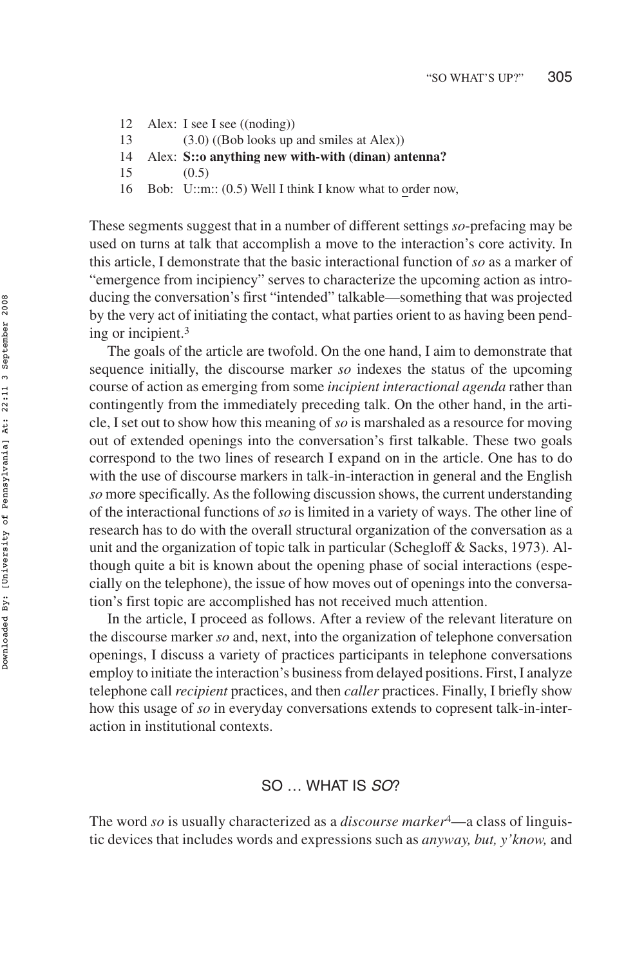- 12 Alex: I see I see ((noding))
- 13 (3.0) ((Bob looks up and smiles at Alex))
- 14 Alex: **S::o anything new with-with (dinan) antenna?**
- 15 (0.5)
- 16 Bob: U::m:: (0.5) Well I think I know what to order now,

These segments suggest that in a number of different settings *so*-prefacing may be used on turns at talk that accomplish a move to the interaction's core activity. In this article, I demonstrate that the basic interactional function of *so* as a marker of "emergence from incipiency" serves to characterize the upcoming action as introducing the conversation's first "intended" talkable—something that was projected by the very act of initiating the contact, what parties orient to as having been pending or incipient.3

The goals of the article are twofold. On the one hand, I aim to demonstrate that sequence initially, the discourse marker *so* indexes the status of the upcoming course of action as emerging from some *incipient interactional agenda* rather than contingently from the immediately preceding talk. On the other hand, in the article, I set out to show how this meaning of *so* is marshaled as a resource for moving out of extended openings into the conversation's first talkable. These two goals correspond to the two lines of research I expand on in the article. One has to do with the use of discourse markers in talk-in-interaction in general and the English *so* more specifically. As the following discussion shows, the current understanding of the interactional functions of *so* is limited in a variety of ways. The other line of research has to do with the overall structural organization of the conversation as a unit and the organization of topic talk in particular (Schegloff & Sacks, 1973). Although quite a bit is known about the opening phase of social interactions (especially on the telephone), the issue of how moves out of openings into the conversation's first topic are accomplished has not received much attention.

In the article, I proceed as follows. After a review of the relevant literature on the discourse marker *so* and, next, into the organization of telephone conversation openings, I discuss a variety of practices participants in telephone conversations employ to initiate the interaction's business from delayed positions. First, I analyze telephone call *recipient* practices, and then *caller* practices. Finally, I briefly show how this usage of *so* in everyday conversations extends to copresent talk-in-interaction in institutional contexts.

#### SO … WHAT IS SO?

The word *so* is usually characterized as a *discourse marker*4—a class of linguistic devices that includes words and expressions such as *anyway, but, y'know,* and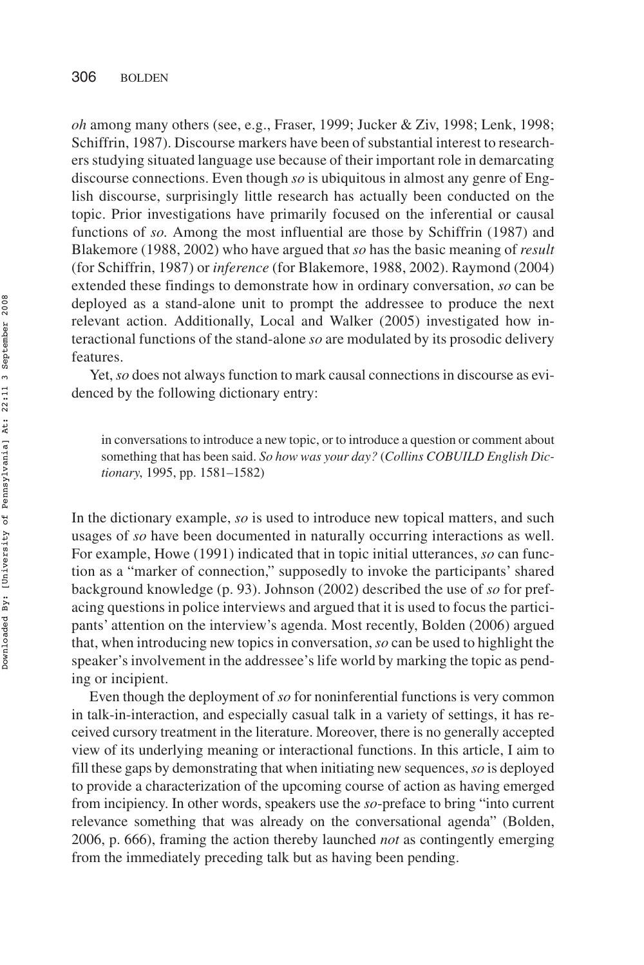*oh* among many others (see, e.g., Fraser, 1999; Jucker & Ziv, 1998; Lenk, 1998; Schiffrin, 1987). Discourse markers have been of substantial interest to researchers studying situated language use because of their important role in demarcating discourse connections. Even though *so* is ubiquitous in almost any genre of English discourse, surprisingly little research has actually been conducted on the topic. Prior investigations have primarily focused on the inferential or causal functions of *so.* Among the most influential are those by Schiffrin (1987) and Blakemore (1988, 2002) who have argued that *so* has the basic meaning of *result* (for Schiffrin, 1987) or *inference* (for Blakemore, 1988, 2002). Raymond (2004) extended these findings to demonstrate how in ordinary conversation, *so* can be deployed as a stand-alone unit to prompt the addressee to produce the next relevant action. Additionally, Local and Walker (2005) investigated how interactional functions of the stand-alone *so* are modulated by its prosodic delivery features.

Yet, *so* does not always function to mark causal connections in discourse as evidenced by the following dictionary entry:

in conversations to introduce a new topic, or to introduce a question or comment about something that has been said. *So how was your day?* (*Collins COBUILD English Dictionary*, 1995, pp. 1581–1582)

In the dictionary example, *so* is used to introduce new topical matters, and such usages of *so* have been documented in naturally occurring interactions as well. For example, Howe (1991) indicated that in topic initial utterances, *so* can function as a "marker of connection," supposedly to invoke the participants' shared background knowledge (p. 93). Johnson (2002) described the use of *so* for prefacing questions in police interviews and argued that it is used to focus the participants' attention on the interview's agenda. Most recently, Bolden (2006) argued that, when introducing new topics in conversation,*so* can be used to highlight the speaker's involvement in the addressee's life world by marking the topic as pending or incipient.

Even though the deployment of *so* for noninferential functions is very common in talk-in-interaction, and especially casual talk in a variety of settings, it has received cursory treatment in the literature. Moreover, there is no generally accepted view of its underlying meaning or interactional functions. In this article, I aim to fill these gaps by demonstrating that when initiating new sequences,*so* is deployed to provide a characterization of the upcoming course of action as having emerged from incipiency. In other words, speakers use the *so*-preface to bring "into current relevance something that was already on the conversational agenda" (Bolden, 2006, p. 666), framing the action thereby launched *not* as contingently emerging from the immediately preceding talk but as having been pending.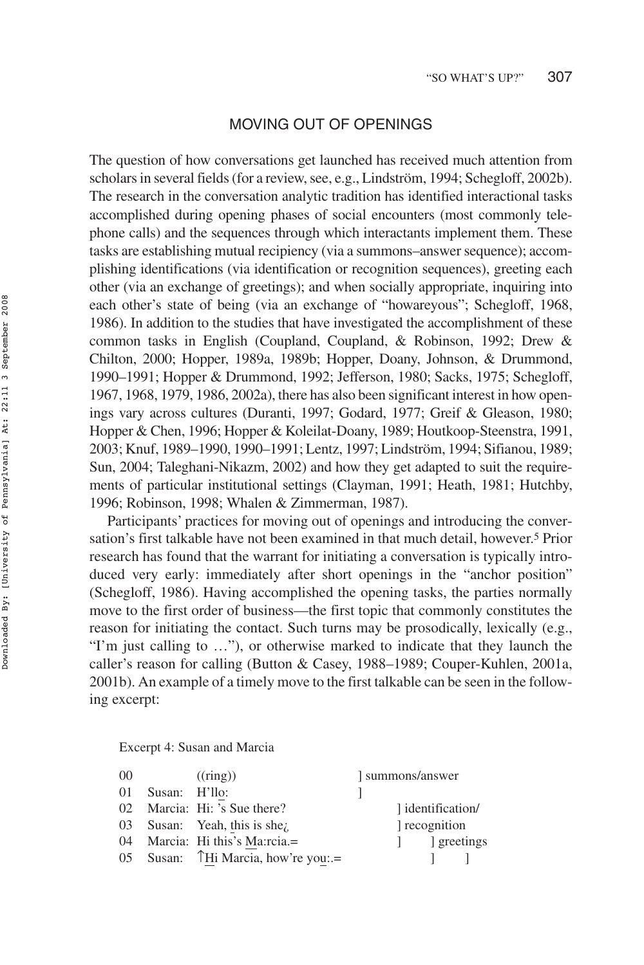#### MOVING OUT OF OPENINGS

The question of how conversations get launched has received much attention from scholars in several fields (for a review, see, e.g., Lindström, 1994; Schegloff, 2002b). The research in the conversation analytic tradition has identified interactional tasks accomplished during opening phases of social encounters (most commonly telephone calls) and the sequences through which interactants implement them. These tasks are establishing mutual recipiency (via a summons–answer sequence); accomplishing identifications (via identification or recognition sequences), greeting each other (via an exchange of greetings); and when socially appropriate, inquiring into each other's state of being (via an exchange of "howareyous"; Schegloff, 1968, 1986). In addition to the studies that have investigated the accomplishment of these common tasks in English (Coupland, Coupland, & Robinson, 1992; Drew & Chilton, 2000; Hopper, 1989a, 1989b; Hopper, Doany, Johnson, & Drummond, 1990–1991; Hopper & Drummond, 1992; Jefferson, 1980; Sacks, 1975; Schegloff, 1967, 1968, 1979, 1986, 2002a), there has also been significant interest in how openings vary across cultures (Duranti, 1997; Godard, 1977; Greif & Gleason, 1980; Hopper & Chen, 1996; Hopper & Koleilat-Doany, 1989; Houtkoop-Steenstra, 1991, 2003; Knuf, 1989–1990, 1990–1991; Lentz, 1997; Lindström, 1994; Sifianou, 1989; Sun, 2004; Taleghani-Nikazm, 2002) and how they get adapted to suit the requirements of particular institutional settings (Clayman, 1991; Heath, 1981; Hutchby, 1996; Robinson, 1998; Whalen & Zimmerman, 1987).

Participants' practices for moving out of openings and introducing the conversation's first talkable have not been examined in that much detail, however.5 Prior research has found that the warrant for initiating a conversation is typically introduced very early: immediately after short openings in the "anchor position" (Schegloff, 1986). Having accomplished the opening tasks, the parties normally move to the first order of business—the first topic that commonly constitutes the reason for initiating the contact. Such turns may be prosodically, lexically (e.g., "I'm just calling to …"), or otherwise marked to indicate that they launch the caller's reason for calling (Button & Casey, 1988–1989; Couper-Kuhlen, 2001a, 2001b). An example of a timely move to the first talkable can be seen in the following excerpt:

Excerpt 4: Susan and Marcia

| summons/answer               |
|------------------------------|
|                              |
| l identification/            |
| recognition                  |
| s greetings<br>and the state |
|                              |
|                              |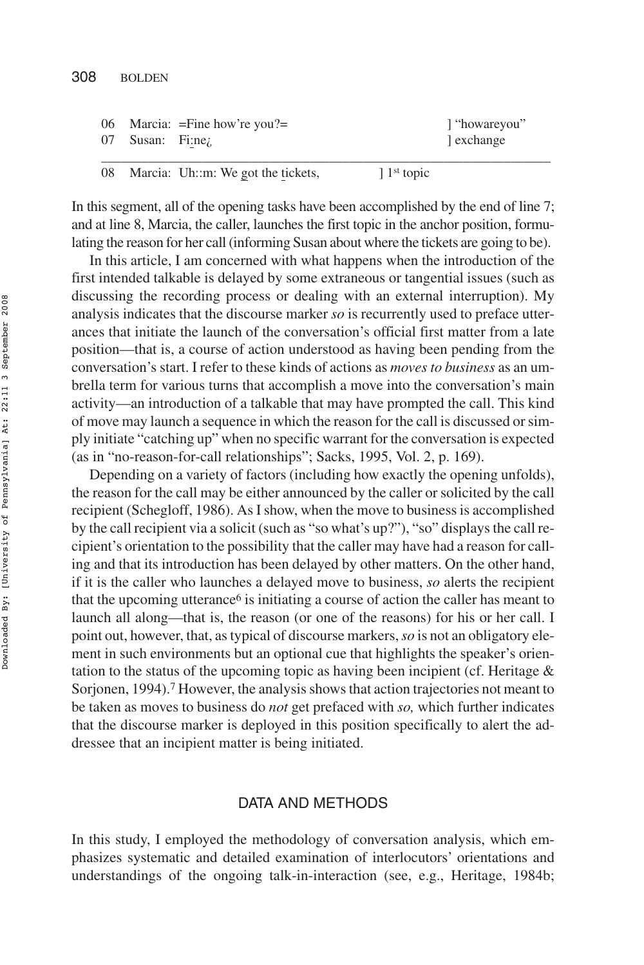|                         | 06 Marcia: $=$ Fine how're you? $=$ | ''howareyou |
|-------------------------|-------------------------------------|-------------|
| 07 Susan: Fi:ne $\zeta$ |                                     | exchange    |
|                         |                                     |             |

08 Marcia: Uh::m: We got the tickets, 1<sup>1st</sup> topic

In this segment, all of the opening tasks have been accomplished by the end of line 7; and at line 8, Marcia, the caller, launches the first topic in the anchor position, formulating the reason for her call (informing Susan about where the tickets are going to be).

In this article, I am concerned with what happens when the introduction of the first intended talkable is delayed by some extraneous or tangential issues (such as discussing the recording process or dealing with an external interruption). My analysis indicates that the discourse marker *so* is recurrently used to preface utterances that initiate the launch of the conversation's official first matter from a late position—that is, a course of action understood as having been pending from the conversation's start. I refer to these kinds of actions as *moves to business* as an umbrella term for various turns that accomplish a move into the conversation's main activity—an introduction of a talkable that may have prompted the call. This kind of move may launch a sequence in which the reason for the call is discussed or simply initiate "catching up" when no specific warrant for the conversation is expected (as in "no-reason-for-call relationships"; Sacks, 1995, Vol. 2, p. 169).

Depending on a variety of factors (including how exactly the opening unfolds), the reason for the call may be either announced by the caller or solicited by the call recipient (Schegloff, 1986). As I show, when the move to business is accomplished by the call recipient via a solicit (such as "so what's up?"), "so" displays the call recipient's orientation to the possibility that the caller may have had a reason for calling and that its introduction has been delayed by other matters. On the other hand, if it is the caller who launches a delayed move to business, *so* alerts the recipient that the upcoming utterance<sup> $6$ </sup> is initiating a course of action the caller has meant to launch all along—that is, the reason (or one of the reasons) for his or her call. I point out, however, that, as typical of discourse markers,*so* is not an obligatory element in such environments but an optional cue that highlights the speaker's orientation to the status of the upcoming topic as having been incipient (cf. Heritage & Sorjonen, 1994).<sup>7</sup> However, the analysis shows that action trajectories not meant to be taken as moves to business do *not* get prefaced with *so,* which further indicates that the discourse marker is deployed in this position specifically to alert the addressee that an incipient matter is being initiated.

#### DATA AND METHODS

In this study, I employed the methodology of conversation analysis, which emphasizes systematic and detailed examination of interlocutors' orientations and understandings of the ongoing talk-in-interaction (see, e.g., Heritage, 1984b;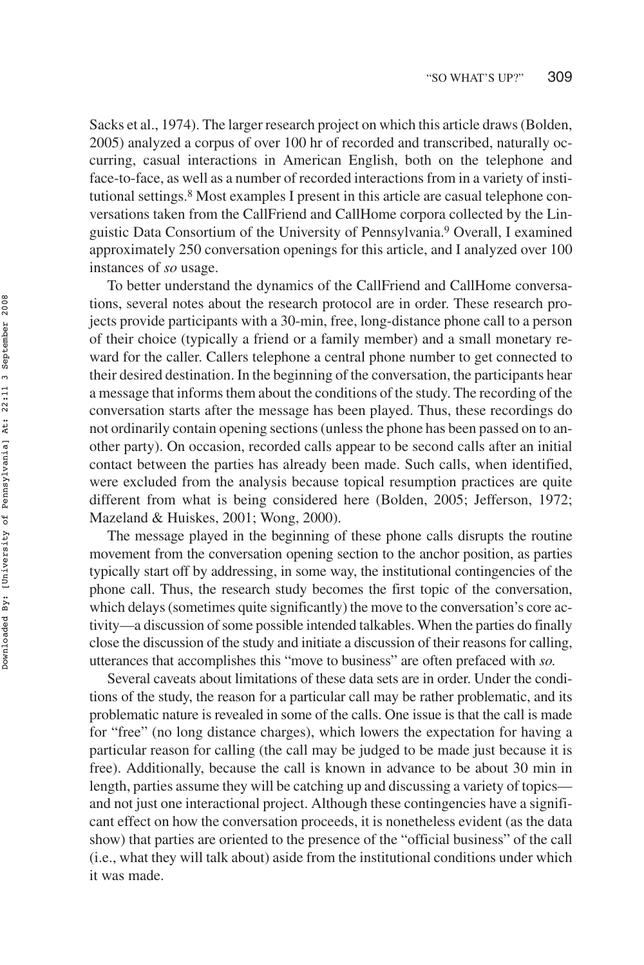Sacks et al., 1974). The larger research project on which this article draws (Bolden, 2005) analyzed a corpus of over 100 hr of recorded and transcribed, naturally occurring, casual interactions in American English, both on the telephone and face-to-face, as well as a number of recorded interactions from in a variety of institutional settings.8 Most examples I present in this article are casual telephone conversations taken from the CallFriend and CallHome corpora collected by the Linguistic Data Consortium of the University of Pennsylvania.9 Overall, I examined approximately 250 conversation openings for this article, and I analyzed over 100 instances of *so* usage.

To better understand the dynamics of the CallFriend and CallHome conversations, several notes about the research protocol are in order. These research projects provide participants with a 30-min, free, long-distance phone call to a person of their choice (typically a friend or a family member) and a small monetary reward for the caller. Callers telephone a central phone number to get connected to their desired destination. In the beginning of the conversation, the participants hear a message that informs them about the conditions of the study. The recording of the conversation starts after the message has been played. Thus, these recordings do not ordinarily contain opening sections (unless the phone has been passed on to another party). On occasion, recorded calls appear to be second calls after an initial contact between the parties has already been made. Such calls, when identified, were excluded from the analysis because topical resumption practices are quite different from what is being considered here (Bolden, 2005; Jefferson, 1972; Mazeland & Huiskes, 2001; Wong, 2000).

The message played in the beginning of these phone calls disrupts the routine movement from the conversation opening section to the anchor position, as parties typically start off by addressing, in some way, the institutional contingencies of the phone call. Thus, the research study becomes the first topic of the conversation, which delays (sometimes quite significantly) the move to the conversation's core activity—a discussion of some possible intended talkables. When the parties do finally close the discussion of the study and initiate a discussion of their reasons for calling, utterances that accomplishes this "move to business" are often prefaced with *so.*

Several caveats about limitations of these data sets are in order. Under the conditions of the study, the reason for a particular call may be rather problematic, and its problematic nature is revealed in some of the calls. One issue is that the call is made for "free" (no long distance charges), which lowers the expectation for having a particular reason for calling (the call may be judged to be made just because it is free). Additionally, because the call is known in advance to be about 30 min in length, parties assume they will be catching up and discussing a variety of topics and not just one interactional project. Although these contingencies have a significant effect on how the conversation proceeds, it is nonetheless evident (as the data show) that parties are oriented to the presence of the "official business" of the call (i.e., what they will talk about) aside from the institutional conditions under which it was made.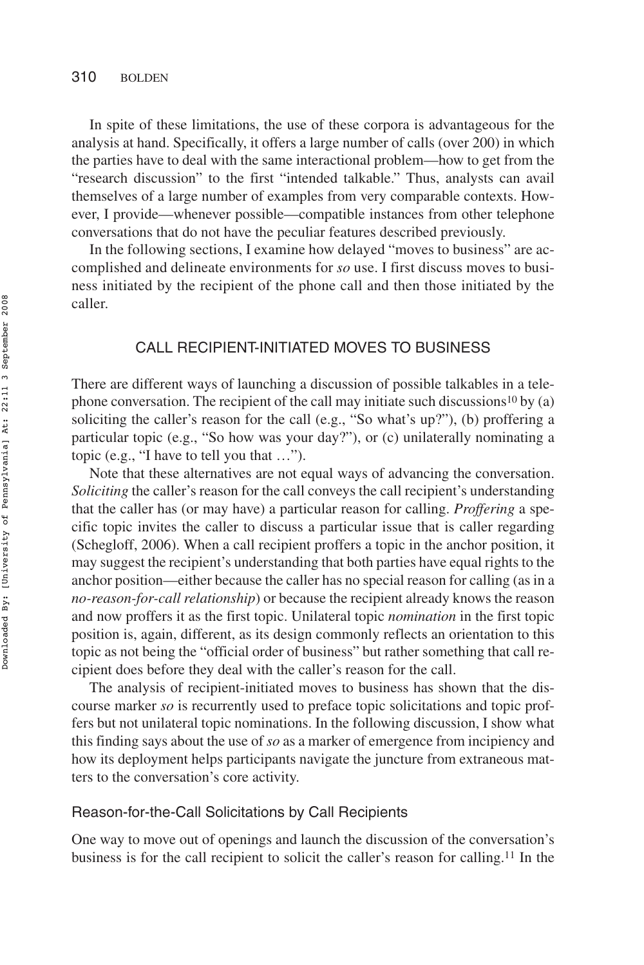In spite of these limitations, the use of these corpora is advantageous for the analysis at hand. Specifically, it offers a large number of calls (over 200) in which the parties have to deal with the same interactional problem—how to get from the "research discussion" to the first "intended talkable." Thus, analysts can avail themselves of a large number of examples from very comparable contexts. However, I provide—whenever possible—compatible instances from other telephone conversations that do not have the peculiar features described previously.

In the following sections, I examine how delayed "moves to business" are accomplished and delineate environments for *so* use. I first discuss moves to business initiated by the recipient of the phone call and then those initiated by the caller.

## CALL RECIPIENT-INITIATED MOVES TO BUSINESS

There are different ways of launching a discussion of possible talkables in a telephone conversation. The recipient of the call may initiate such discussions<sup>10</sup> by (a) soliciting the caller's reason for the call (e.g., "So what's up?"), (b) proffering a particular topic (e.g., "So how was your day?"), or (c) unilaterally nominating a topic (e.g., "I have to tell you that …").

Note that these alternatives are not equal ways of advancing the conversation. *Soliciting* the caller's reason for the call conveys the call recipient's understanding that the caller has (or may have) a particular reason for calling. *Proffering* a specific topic invites the caller to discuss a particular issue that is caller regarding (Schegloff, 2006). When a call recipient proffers a topic in the anchor position, it may suggest the recipient's understanding that both parties have equal rights to the anchor position—either because the caller has no special reason for calling (as in a *no-reason-for-call relationship*) or because the recipient already knows the reason and now proffers it as the first topic. Unilateral topic *nomination* in the first topic position is, again, different, as its design commonly reflects an orientation to this topic as not being the "official order of business" but rather something that call recipient does before they deal with the caller's reason for the call.

The analysis of recipient-initiated moves to business has shown that the discourse marker *so* is recurrently used to preface topic solicitations and topic proffers but not unilateral topic nominations. In the following discussion, I show what this finding says about the use of *so* as a marker of emergence from incipiency and how its deployment helps participants navigate the juncture from extraneous matters to the conversation's core activity.

#### Reason-for-the-Call Solicitations by Call Recipients

One way to move out of openings and launch the discussion of the conversation's business is for the call recipient to solicit the caller's reason for calling.11 In the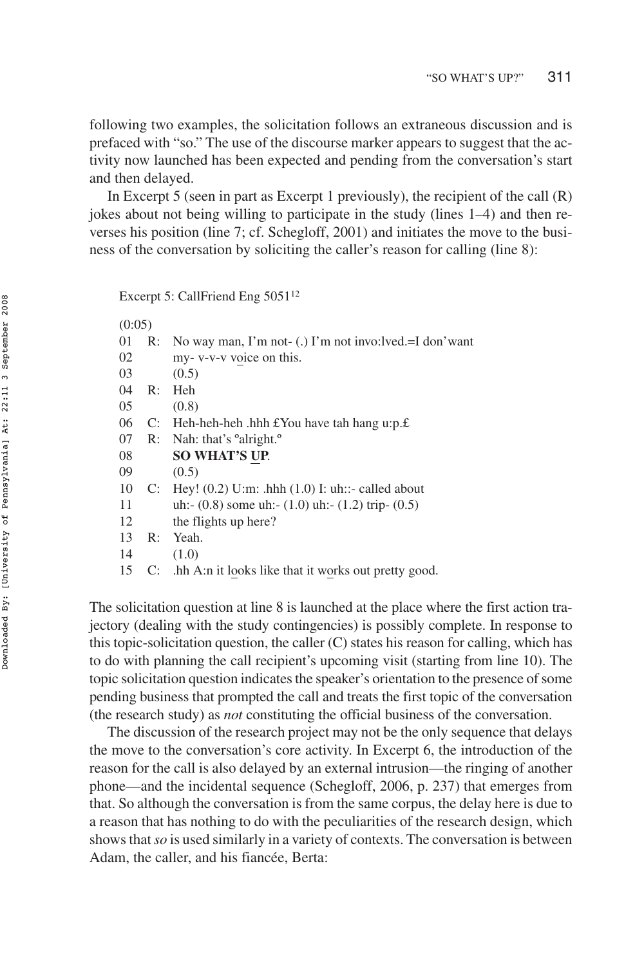following two examples, the solicitation follows an extraneous discussion and is prefaced with "so." The use of the discourse marker appears to suggest that the activity now launched has been expected and pending from the conversation's start and then delayed.

In Excerpt 5 (seen in part as Excerpt 1 previously), the recipient of the call (R) jokes about not being willing to participate in the study (lines 1–4) and then reverses his position (line 7; cf. Schegloff, 2001) and initiates the move to the business of the conversation by soliciting the caller's reason for calling (line 8):

Excerpt 5: CallFriend Eng 5051<sup>12</sup>

(0:05)

| 01 | R: | No way man, I'm not- (.) I'm not invo:lved.=I don'want    |
|----|----|-----------------------------------------------------------|
| 02 |    | my- v-v-v voice on this.                                  |
| 03 |    | (0.5)                                                     |
| 04 | R: | Heh                                                       |
| 05 |    | (0.8)                                                     |
| 06 |    | C: Heh-heh-heh .hhh $E$ You have tah hang u:p. $E$        |
| 07 |    | R: Nah: that's $^{\circ}$ alright. $^{\circ}$             |
| 08 |    | <b>SO WHAT'S UP.</b>                                      |
| 09 |    | (0.5)                                                     |
| 10 |    | C: Hey! $(0.2)$ U:m: .hhh $(1.0)$ I: uh::- called about   |
| 11 |    | uh:- $(0.8)$ some uh:- $(1.0)$ uh:- $(1.2)$ trip- $(0.5)$ |
| 12 |    | the flights up here?                                      |
| 13 | R: | Yeah.                                                     |
| 14 |    | (1.0)                                                     |
| 15 |    | C: .hh A:n it looks like that it works out pretty good.   |
|    |    |                                                           |

The solicitation question at line 8 is launched at the place where the first action trajectory (dealing with the study contingencies) is possibly complete. In response to this topic-solicitation question, the caller  $(C)$  states his reason for calling, which has to do with planning the call recipient's upcoming visit (starting from line 10). The topic solicitation question indicates the speaker's orientation to the presence of some pending business that prompted the call and treats the first topic of the conversation (the research study) as *not* constituting the official business of the conversation.

The discussion of the research project may not be the only sequence that delays the move to the conversation's core activity. In Excerpt 6, the introduction of the reason for the call is also delayed by an external intrusion—the ringing of another phone—and the incidental sequence (Schegloff, 2006, p. 237) that emerges from that. So although the conversation is from the same corpus, the delay here is due to a reason that has nothing to do with the peculiarities of the research design, which shows that*so* is used similarly in a variety of contexts. The conversation is between Adam, the caller, and his fiancée, Berta: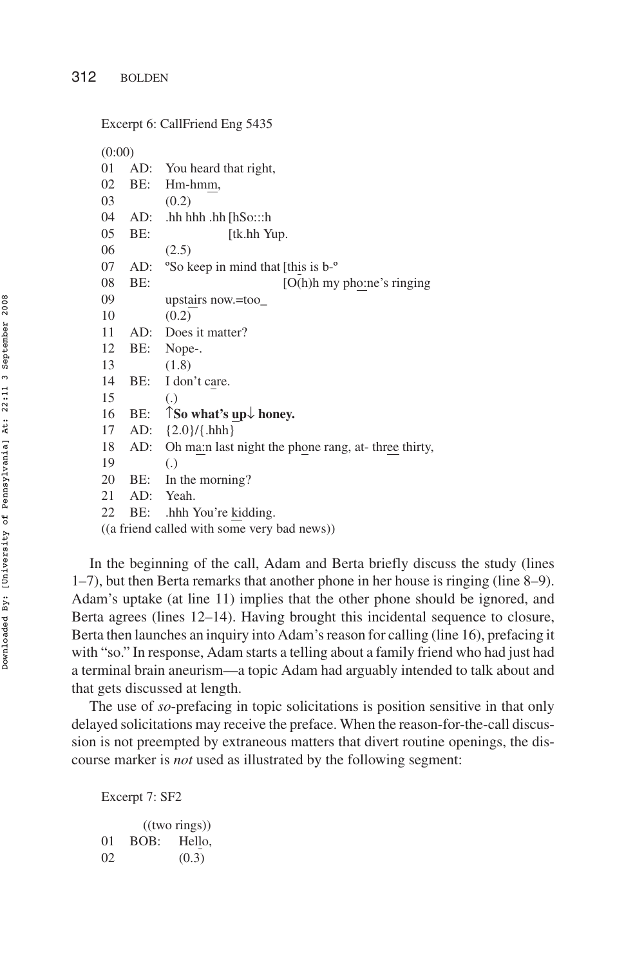```
Excerpt 6: CallFriend Eng 5435
(0:00)
01 AD: You heard that right,
02 BE: Hm-hmm,
03 (0.2)
04 AD: .hh hhh .hh [hSo:::h
05 BE: [tk.hh Yup.]
06 (2.5)
07 AD: ºSo keep in mind that [this is b-º
08 BE: [O(h)h my pho:ne's ringing
09 upstairs now.=too_
10 (0.2)
11 AD: Does it matter?
12 BE: Nope-.
13 (1.8)
14 BE: I don't care.
15 (.)
16 BE: ↑So what's up honey.
17 AD: {2.0}/{.hhh}
18 AD: Oh ma:n last night the phone rang, at- three thirty,
19 (.)
20 BE: In the morning?
21 AD: Yeah.
22 BE: .hhh You're kidding.
((a friend called with some very bad news))
```
In the beginning of the call, Adam and Berta briefly discuss the study (lines 1–7), but then Berta remarks that another phone in her house is ringing (line 8–9). Adam's uptake (at line 11) implies that the other phone should be ignored, and Berta agrees (lines 12–14). Having brought this incidental sequence to closure, Berta then launches an inquiry into Adam's reason for calling (line 16), prefacing it with "so." In response, Adam starts a telling about a family friend who had just had a terminal brain aneurism—a topic Adam had arguably intended to talk about and that gets discussed at length.

The use of *so*-prefacing in topic solicitations is position sensitive in that only delayed solicitations may receive the preface. When the reason-for-the-call discussion is not preempted by extraneous matters that divert routine openings, the discourse marker is *not* used as illustrated by the following segment:

Excerpt 7: SF2

|    |      | ((two rings)) |
|----|------|---------------|
| 01 | BOB: | Hello,        |
| 02 |      | (0.3)         |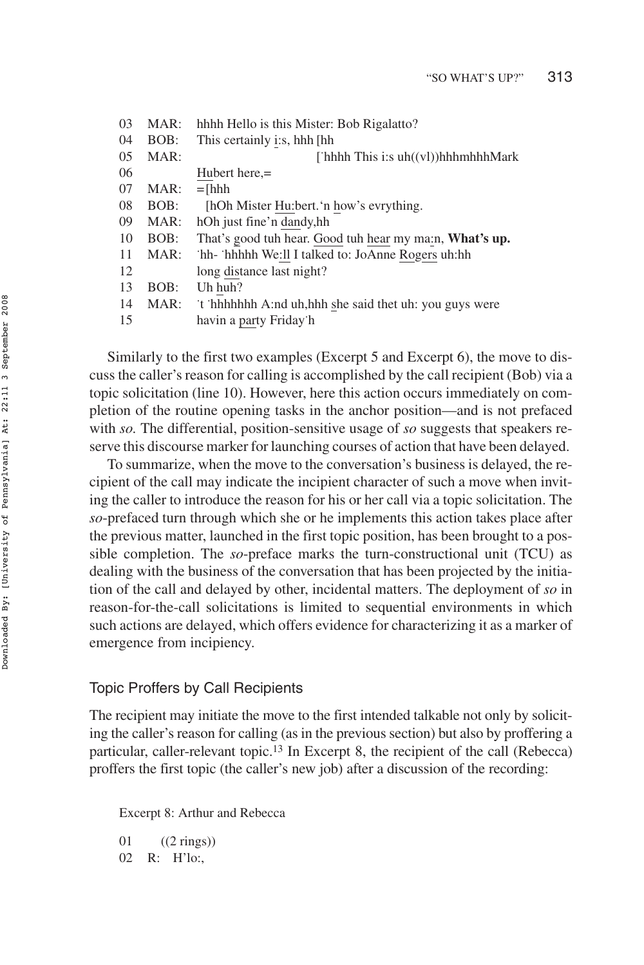| 0 <sub>3</sub> | MAR: | hhhh Hello is this Mister: Bob Rigalatto?                      |
|----------------|------|----------------------------------------------------------------|
| 04             | BOB: | This certainly i:s, hhh [hh                                    |
| 0.5            | MAR: | [ hhhh This i:s $uh((vl))hhhhhhMark$                           |
| 06             |      | Hubert here,=                                                  |
| 07             | MAR: | $=$ [hhh                                                       |
| 08             | BOB: | [hOh Mister Hu:bert.'n how's evrything.                        |
| 09             | MAR: | hOh just fine'n dandy, hh                                      |
| 10             | BOB: | That's good tuh hear. Good tuh hear my ma:n, <b>What's up.</b> |
| 11             | MAR: | hh- hhhhh We:ll I talked to: JoAnne Rogers uh:hh               |
| 12             |      | long distance last night?                                      |
| 13             | BOB: | Uh huh?                                                        |
| 14             | MAR: | t hhhhhhh A:nd uh, hhh she said thet uh: you guys were         |
| 15             |      | havin a party Friday h                                         |

Similarly to the first two examples (Excerpt 5 and Excerpt 6), the move to discuss the caller's reason for calling is accomplished by the call recipient (Bob) via a topic solicitation (line 10). However, here this action occurs immediately on completion of the routine opening tasks in the anchor position—and is not prefaced with *so.* The differential, position-sensitive usage of *so* suggests that speakers reserve this discourse marker for launching courses of action that have been delayed.

To summarize, when the move to the conversation's business is delayed, the recipient of the call may indicate the incipient character of such a move when inviting the caller to introduce the reason for his or her call via a topic solicitation. The *so*-prefaced turn through which she or he implements this action takes place after the previous matter, launched in the first topic position, has been brought to a possible completion. The *so*-preface marks the turn-constructional unit (TCU) as dealing with the business of the conversation that has been projected by the initiation of the call and delayed by other, incidental matters. The deployment of *so* in reason-for-the-call solicitations is limited to sequential environments in which such actions are delayed, which offers evidence for characterizing it as a marker of emergence from incipiency.

# Topic Proffers by Call Recipients

The recipient may initiate the move to the first intended talkable not only by soliciting the caller's reason for calling (as in the previous section) but also by proffering a particular, caller-relevant topic.13 In Excerpt 8, the recipient of the call (Rebecca) proffers the first topic (the caller's new job) after a discussion of the recording:

Excerpt 8: Arthur and Rebecca

01 ((2 rings)) 02 R: H'lo:,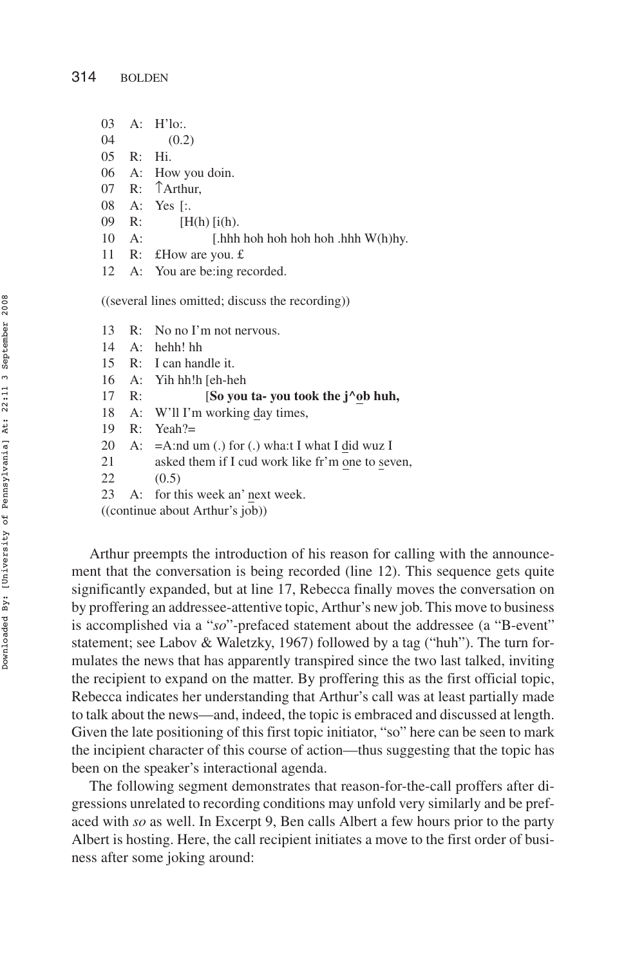- 03 A: H'lo:.
- 04 (0.2)
- 05 R: Hi.
- 06 A: How you doin.
- 07 R: ↑Arthur,
- 08 A: Yes [:.
- 09 R:  $[H(h)]$  [i(h).
- 10 A: [.hhh hoh hoh hoh hoh .hhh W(h)hy.
- 11 R: £How are you. £
- 12 A: You are be:ing recorded.

((several lines omitted; discuss the recording))

- 13 R: No no I'm not nervous.
- 14 A: hehh! hh
- 15 R: I can handle it.
- 16 A: Yih hh!h [eh-heh
- 17 R: [**So you ta- you took the j^ob huh,**
- 18 A: W'll I'm working day times,
- 19 R: Yeah?=
- 20 A:  $=$ A:nd um (.) for (.) wha:t I what I did wuz I
- 21 asked them if I cud work like fr'm one to seven,
- 22 (0.5)
- 23 A: for this week an' next week.

((continue about Arthur's job))

Arthur preempts the introduction of his reason for calling with the announcement that the conversation is being recorded (line 12). This sequence gets quite significantly expanded, but at line 17, Rebecca finally moves the conversation on by proffering an addressee-attentive topic, Arthur's new job. This move to business is accomplished via a "*so*"-prefaced statement about the addressee (a "B-event" statement; see Labov & Waletzky, 1967) followed by a tag ("huh"). The turn formulates the news that has apparently transpired since the two last talked, inviting the recipient to expand on the matter. By proffering this as the first official topic, Rebecca indicates her understanding that Arthur's call was at least partially made to talk about the news—and, indeed, the topic is embraced and discussed at length. Given the late positioning of this first topic initiator, "so" here can be seen to mark the incipient character of this course of action—thus suggesting that the topic has been on the speaker's interactional agenda.

The following segment demonstrates that reason-for-the-call proffers after digressions unrelated to recording conditions may unfold very similarly and be prefaced with *so* as well. In Excerpt 9, Ben calls Albert a few hours prior to the party Albert is hosting. Here, the call recipient initiates a move to the first order of business after some joking around: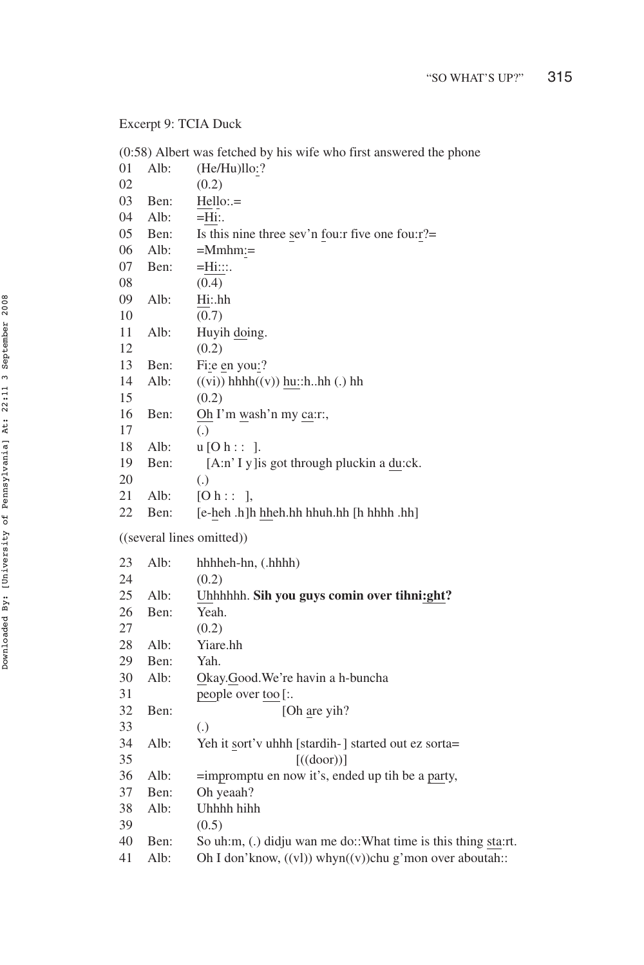# Excerpt 9: TCIA Duck

|    |      | (0:58) Albert was fetched by his wife who first answered the phone |
|----|------|--------------------------------------------------------------------|
| 01 | Alb: | (He/Hu)llo:?                                                       |
| 02 |      | (0.2)                                                              |
| 03 | Ben: | $Hello:=$                                                          |
| 04 | Alb: | =Hi∶.                                                              |
| 05 | Ben: | Is this nine three sev'n fou: r five one fou: $r$ ?=               |
| 06 | Alb: | =Mmhm:=                                                            |
| 07 | Ben: | $=$ Hi:::.                                                         |
| 08 |      | (0.4)                                                              |
| 09 | Alb: | Hi:.hh                                                             |
| 10 |      | (0.7)                                                              |
| 11 | Alb: | Huyih doing.                                                       |
| 12 |      | (0.2)                                                              |
| 13 | Ben: | Fi:e en you:?                                                      |
| 14 | Alb: | $((vi))$ hhhh $((v))$ hu::hhh $(.)$ hh                             |
| 15 |      | (0.2)                                                              |
| 16 | Ben: | Oh I'm wash'n my ca:r:,                                            |
| 17 |      | (.)                                                                |
| 18 | Alb: | $u$ [O h : : ].                                                    |
| 19 | Ben: | [A:n' I y ] is got through pluckin a du:ck.                        |
| 20 |      | $\left( .\right)$                                                  |
| 21 | Alb: | [Oh: : ]                                                           |
| 22 | Ben: | [e-heh .h]h hheh.hh hhuh.hh [h hhhh .hh]                           |
|    |      | ((several lines omitted))                                          |
| 23 | Alb: | hhhheh-hn, (.hhhh)                                                 |
| 24 |      | (0.2)                                                              |
| 25 | Alb: | Uhhhhhh. Sih you guys comin over tihni:ght?                        |
| 26 | Ben: | Yeah.                                                              |
| 27 |      | (0.2)                                                              |
| 28 | Alb: | Yiare.hh                                                           |
| 29 | Ben: | Yah.                                                               |
| 30 | Alb: | Okay.Good.We're havin a h-buncha                                   |
| 31 |      | people over too [:.                                                |
| 32 | Ben: | [Oh are yih?                                                       |
| 33 |      | $\left( .\right)$                                                  |
| 34 | Alb: | Yeh it sort'v uhhh [stardih-] started out ez sorta=                |
| 35 |      | $[(\text{door})]$                                                  |
| 36 | Alb: | =impromptu en now it's, ended up tih be a party,                   |
| 37 | Ben: | Oh yeaah?                                                          |
| 38 | Alb: | Uhhhh hihh                                                         |
| 39 |      | (0.5)                                                              |
| 40 | Ben: | So uh:m, (.) didju wan me do:: What time is this thing sta:rt.     |
| 41 | Alb: | Oh I don'know, $((vl))$ whyn $((v))$ chu g'mon over aboutah::      |
|    |      |                                                                    |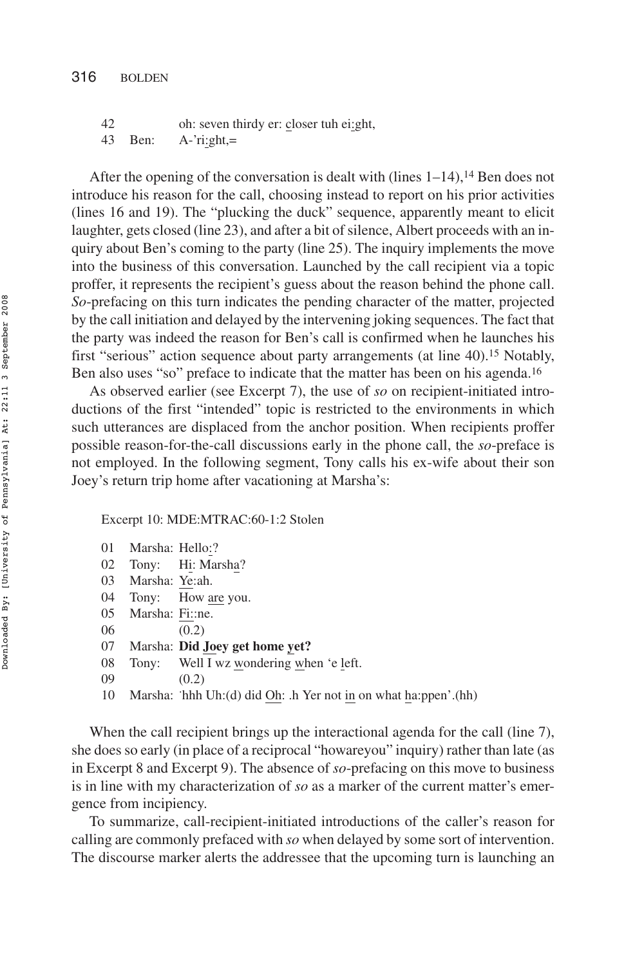42 oh: seven thirdy er: closer tuh ei:ght, 43 Ben: A-'ri:ght,=

After the opening of the conversation is dealt with (lines  $1-14$ ),  $14$  Ben does not introduce his reason for the call, choosing instead to report on his prior activities (lines 16 and 19). The "plucking the duck" sequence, apparently meant to elicit laughter, gets closed (line 23), and after a bit of silence, Albert proceeds with an inquiry about Ben's coming to the party (line 25). The inquiry implements the move into the business of this conversation. Launched by the call recipient via a topic proffer, it represents the recipient's guess about the reason behind the phone call. *So*-prefacing on this turn indicates the pending character of the matter, projected by the call initiation and delayed by the intervening joking sequences. The fact that the party was indeed the reason for Ben's call is confirmed when he launches his first "serious" action sequence about party arrangements (at line 40).<sup>15</sup> Notably, Ben also uses "so" preface to indicate that the matter has been on his agenda.<sup>16</sup>

As observed earlier (see Excerpt 7), the use of *so* on recipient-initiated introductions of the first "intended" topic is restricted to the environments in which such utterances are displaced from the anchor position. When recipients proffer possible reason-for-the-call discussions early in the phone call, the *so*-preface is not employed. In the following segment, Tony calls his ex-wife about their son Joey's return trip home after vacationing at Marsha's:

Excerpt 10: MDE:MTRAC:60-1:2 Stolen

| 0 <sub>1</sub> | Marsha: Hello:? |  |
|----------------|-----------------|--|
|                |                 |  |

- 02 Tony: Hi: Marsha?
- 03 Marsha: Ye:ah.
- 04 Tony: How are you.
- 05 Marsha: Fi::ne.
- 06 (0.2)
- 07 Marsha: **Did Joey get home yet?**
- 08 Tony: Well I wz wondering when 'e left.
- 09 (0.2)
- 10 Marsha: hhh Uh:(d) did Oh: .h Yer not in on what ha:ppen'.(hh)

When the call recipient brings up the interactional agenda for the call (line 7), she does so early (in place of a reciprocal "howareyou" inquiry) rather than late (as in Excerpt 8 and Excerpt 9). The absence of *so*-prefacing on this move to business is in line with my characterization of *so* as a marker of the current matter's emergence from incipiency.

To summarize, call-recipient-initiated introductions of the caller's reason for calling are commonly prefaced with *so* when delayed by some sort of intervention. The discourse marker alerts the addressee that the upcoming turn is launching an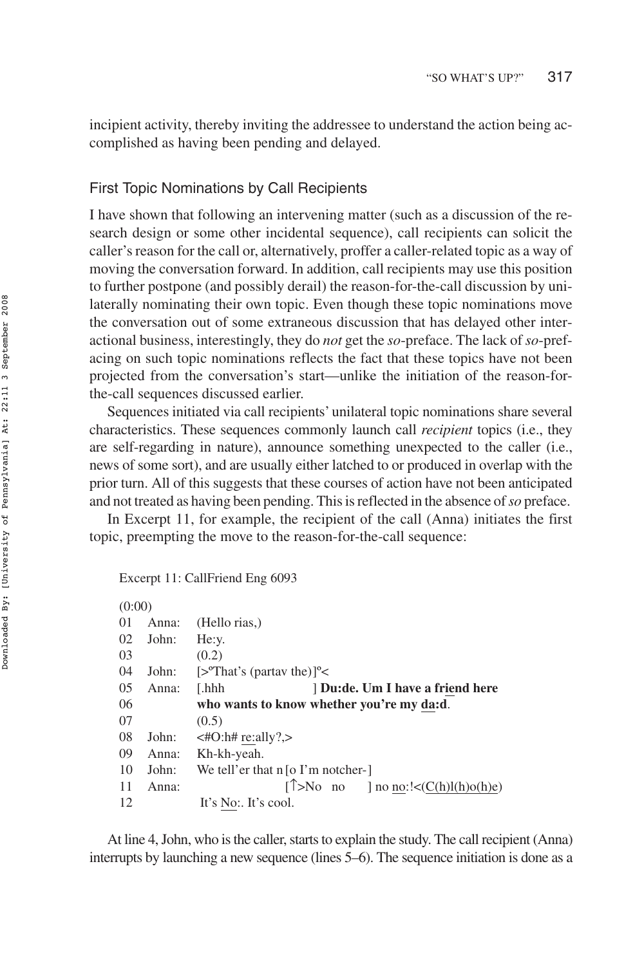incipient activity, thereby inviting the addressee to understand the action being accomplished as having been pending and delayed.

### First Topic Nominations by Call Recipients

I have shown that following an intervening matter (such as a discussion of the research design or some other incidental sequence), call recipients can solicit the caller's reason for the call or, alternatively, proffer a caller-related topic as a way of moving the conversation forward. In addition, call recipients may use this position to further postpone (and possibly derail) the reason-for-the-call discussion by unilaterally nominating their own topic. Even though these topic nominations move the conversation out of some extraneous discussion that has delayed other interactional business, interestingly, they do *not* get the *so*-preface. The lack of *so*-prefacing on such topic nominations reflects the fact that these topics have not been projected from the conversation's start—unlike the initiation of the reason-forthe-call sequences discussed earlier.

Sequences initiated via call recipients' unilateral topic nominations share several characteristics. These sequences commonly launch call *recipient* topics (i.e., they are self-regarding in nature), announce something unexpected to the caller (i.e., news of some sort), and are usually either latched to or produced in overlap with the prior turn. All of this suggests that these courses of action have not been anticipated and not treated as having been pending. This is reflected in the absence of*so* preface.

In Excerpt 11, for example, the recipient of the call (Anna) initiates the first topic, preempting the move to the reason-for-the-call sequence:

#### Excerpt 11: CallFriend Eng 6093

| (0:00) |       |                                                              |
|--------|-------|--------------------------------------------------------------|
| 01     | Anna: | (Hello rias.)                                                |
| 02     | John: | He:y.                                                        |
| 03     |       | (0.2)                                                        |
| 04     | John: | $[>^{\circ}$ That's (partay the)] <sup>o</sup> $<$           |
| 05     | Anna: | Du:de. Um I have a friend here<br>[.hhh                      |
| 06     |       | who wants to know whether you're my da:d.                    |
| 07     |       | (0.5)                                                        |
| 08     | John: | $\lt$ #O:h# re:ally?,>                                       |
| 09     | Anna: | Kh-kh-yeah.                                                  |
| 10     | John: | We tell'er that $n \times I$ m notcher-                      |
| 11     | Anna: | $\lceil \uparrow \rangle$ No no ] no no:!< $(C(h)l(h)o(h)e)$ |
| 12     |       | It's No: It's cool.                                          |

At line 4, John, who is the caller, starts to explain the study. The call recipient (Anna) interrupts by launching a new sequence (lines 5–6). The sequence initiation is done as a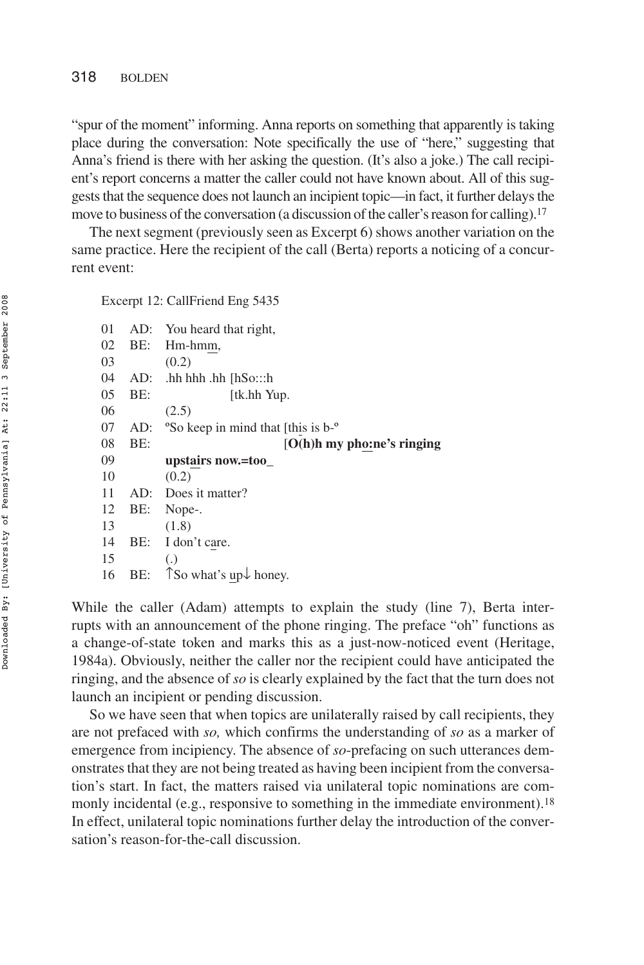"spur of the moment" informing. Anna reports on something that apparently is taking place during the conversation: Note specifically the use of "here," suggesting that Anna's friend is there with her asking the question. (It's also a joke.) The call recipient's report concerns a matter the caller could not have known about. All of this suggests that the sequence does not launch an incipient topic—in fact, it further delays the move to business of the conversation (a discussion of the caller's reason for calling).<sup>17</sup>

The next segment (previously seen as Excerpt 6) shows another variation on the same practice. Here the recipient of the call (Berta) reports a noticing of a concurrent event:

Excerpt 12: CallFriend Eng 5435

| 01 |     | AD: You heard that right,                                  |
|----|-----|------------------------------------------------------------|
| 02 |     | BE: Hm-hmm,                                                |
| 03 |     | (0.2)                                                      |
| 04 | AD: | hh hhh .hh [hSo:::h.                                       |
| 05 | BE: | [tk.hh Yup.                                                |
| 06 |     | (2.5)                                                      |
| 07 | AD: | <sup>o</sup> So keep in mind that [this is b- <sup>o</sup> |
| 08 | BE: | $[O(h)$ h my pho:ne's ringing                              |
| 09 |     | upstairs now.=too_                                         |
| 10 |     | (0.2)                                                      |
| 11 |     | AD: Does it matter?                                        |
| 12 | BE: | Nope-.                                                     |
| 13 |     | (1.8)                                                      |
| 14 | BE: | I don't care.                                              |
| 15 |     | $\left( .\right)$                                          |
| 16 |     |                                                            |
|    | BE: | $\uparrow$ So what's up $\downarrow$ honey.                |

While the caller (Adam) attempts to explain the study (line 7), Berta interrupts with an announcement of the phone ringing. The preface "oh" functions as a change-of-state token and marks this as a just-now-noticed event (Heritage, 1984a). Obviously, neither the caller nor the recipient could have anticipated the ringing, and the absence of *so* is clearly explained by the fact that the turn does not launch an incipient or pending discussion.

So we have seen that when topics are unilaterally raised by call recipients, they are not prefaced with *so,* which confirms the understanding of *so* as a marker of emergence from incipiency. The absence of *so*-prefacing on such utterances demonstrates that they are not being treated as having been incipient from the conversation's start. In fact, the matters raised via unilateral topic nominations are commonly incidental (e.g., responsive to something in the immediate environment).<sup>18</sup> In effect, unilateral topic nominations further delay the introduction of the conversation's reason-for-the-call discussion.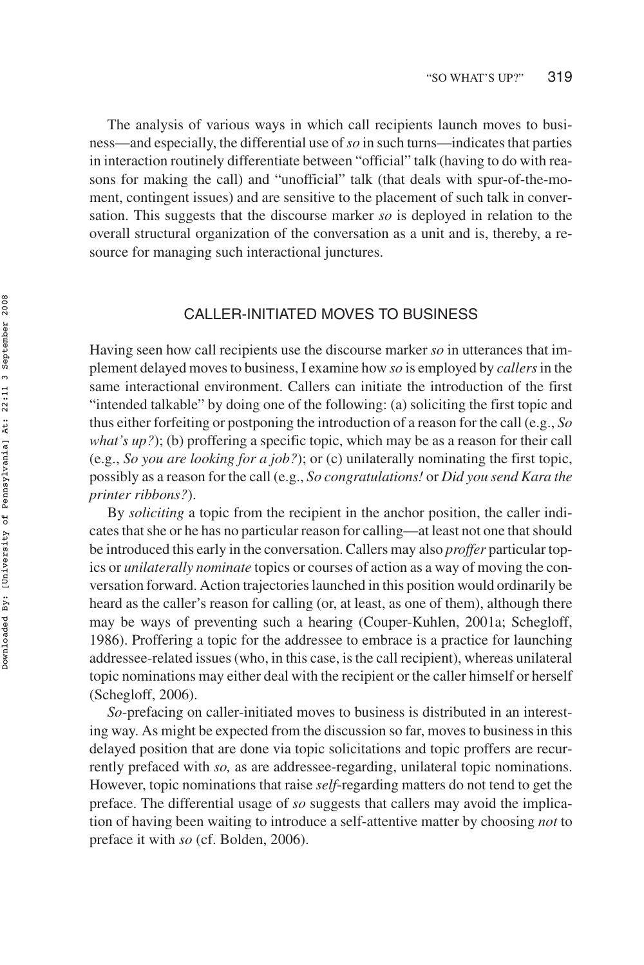The analysis of various ways in which call recipients launch moves to business—and especially, the differential use of*so* in such turns—indicates that parties in interaction routinely differentiate between "official" talk (having to do with reasons for making the call) and "unofficial" talk (that deals with spur-of-the-moment, contingent issues) and are sensitive to the placement of such talk in conversation. This suggests that the discourse marker *so* is deployed in relation to the overall structural organization of the conversation as a unit and is, thereby, a resource for managing such interactional junctures.

## CALLER-INITIATED MOVES TO BUSINESS

Having seen how call recipients use the discourse marker *so* in utterances that implement delayed moves to business, I examine how *so* is employed by *callers*in the same interactional environment. Callers can initiate the introduction of the first "intended talkable" by doing one of the following: (a) soliciting the first topic and thus either forfeiting or postponing the introduction of a reason for the call (e.g., *So what's up?*); (b) proffering a specific topic, which may be as a reason for their call (e.g., *So you are looking for a job?*); or (c) unilaterally nominating the first topic, possibly as a reason for the call (e.g., *So congratulations!* or *Did you send Kara the printer ribbons?*).

By *soliciting* a topic from the recipient in the anchor position, the caller indicates that she or he has no particular reason for calling—at least not one that should be introduced this early in the conversation. Callers may also *proffer* particular topics or *unilaterally nominate* topics or courses of action as a way of moving the conversation forward. Action trajectories launched in this position would ordinarily be heard as the caller's reason for calling (or, at least, as one of them), although there may be ways of preventing such a hearing (Couper-Kuhlen, 2001a; Schegloff, 1986). Proffering a topic for the addressee to embrace is a practice for launching addressee-related issues (who, in this case, is the call recipient), whereas unilateral topic nominations may either deal with the recipient or the caller himself or herself (Schegloff, 2006).

*So*-prefacing on caller-initiated moves to business is distributed in an interesting way. As might be expected from the discussion so far, moves to business in this delayed position that are done via topic solicitations and topic proffers are recurrently prefaced with *so,* as are addressee-regarding, unilateral topic nominations. However, topic nominations that raise *self*-regarding matters do not tend to get the preface. The differential usage of *so* suggests that callers may avoid the implication of having been waiting to introduce a self-attentive matter by choosing *not* to preface it with *so* (cf. Bolden, 2006).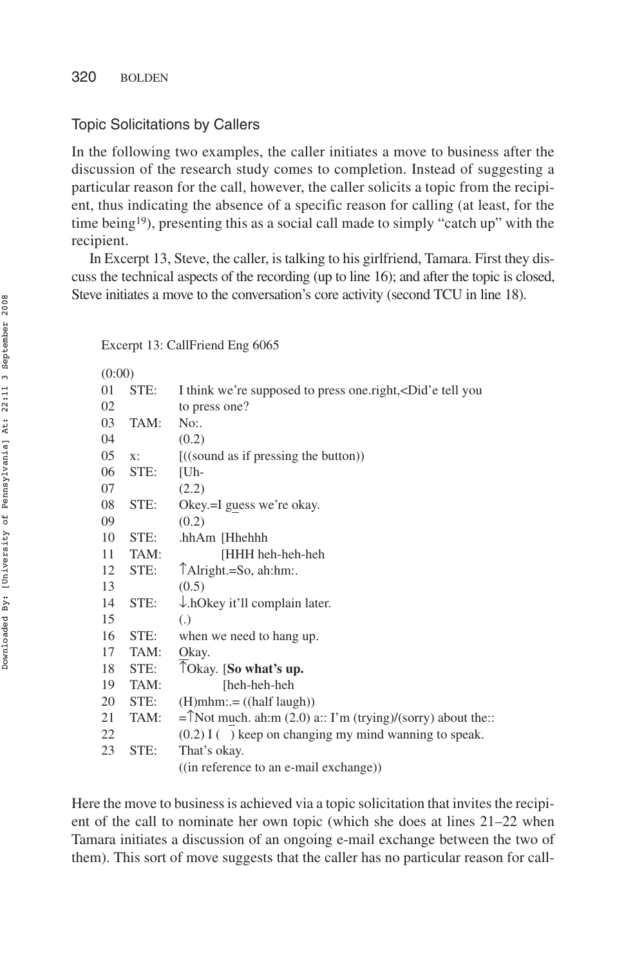## Topic Solicitations by Callers

In the following two examples, the caller initiates a move to business after the discussion of the research study comes to completion. Instead of suggesting a particular reason for the call, however, the caller solicits a topic from the recipient, thus indicating the absence of a specific reason for calling (at least, for the time being<sup>19</sup>), presenting this as a social call made to simply "catch up" with the recipient.

In Excerpt 13, Steve, the caller, is talking to his girlfriend, Tamara. First they discuss the technical aspects of the recording (up to line 16); and after the topic is closed, Steve initiates a move to the conversation's core activity (second TCU in line 18).

Excerpt 13: CallFriend Eng 6065

| (0:00) |      |                                                                                                      |
|--------|------|------------------------------------------------------------------------------------------------------|
| 01     | STE: | I think we're supposed to press one right, <did'e td="" tell="" you<=""></did'e>                     |
| 02     |      | to press one?                                                                                        |
| 03     | TAM: | No:                                                                                                  |
| 04     |      | (0.2)                                                                                                |
| 05     | X:   | $((\text{sound as if pressing the button}))$                                                         |
| 06     | STE: | [Uh-                                                                                                 |
| 07     |      | (2.2)                                                                                                |
| 08     | STE: | Okey.=I guess we're okay.                                                                            |
| 09     |      | (0.2)                                                                                                |
| 10     | STE: | .hhAm [Hhehhh                                                                                        |
| 11     | TAM: | [HHH heh-heh-heh                                                                                     |
| 12     | STE: | TAlright.=So, ah:hm:.                                                                                |
| 13     |      | (0.5)                                                                                                |
| 14     | STE: | $\downarrow$ .hOkey it'll complain later.                                                            |
| 15     |      | $\left( .\right)$                                                                                    |
| 16     | STE: | when we need to hang up.                                                                             |
| 17     | TAM: | Okay.                                                                                                |
| 18     | STE: | TOkay. [So what's up.                                                                                |
| 19     | TAM: | [heh-heh-heh                                                                                         |
| 20     | STE: | $(H)$ mhm: $= ((half \, laugh))$                                                                     |
| 21     | TAM: | = $\text{[Not much. } \text{ah:} \text{m} (2.0) \text{ a::} \text{ I'm (trying)/(sory) about the::}$ |
| 22     |      | $(0.2)$ I () keep on changing my mind wanning to speak.                                              |
| 23     | STE: | That's okay.                                                                                         |
|        |      | ((in reference to an e-mail exchange))                                                               |

Here the move to business is achieved via a topic solicitation that invites the recipient of the call to nominate her own topic (which she does at lines 21–22 when Tamara initiates a discussion of an ongoing e-mail exchange between the two of them). This sort of move suggests that the caller has no particular reason for call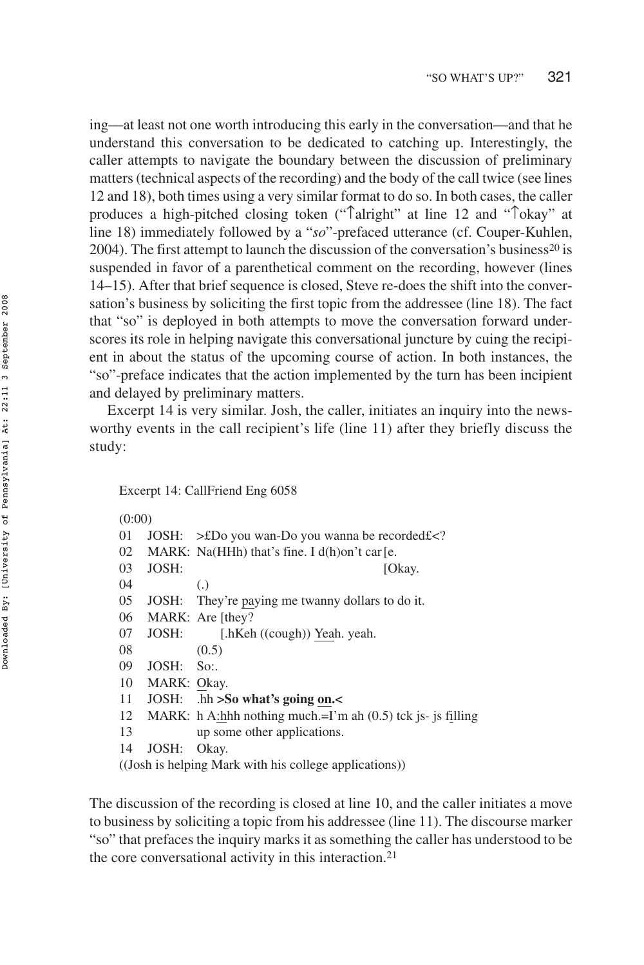ing—at least not one worth introducing this early in the conversation—and that he understand this conversation to be dedicated to catching up. Interestingly, the caller attempts to navigate the boundary between the discussion of preliminary matters (technical aspects of the recording) and the body of the call twice (see lines 12 and 18), both times using a very similar format to do so. In both cases, the caller produces a high-pitched closing token ("↑alright" at line 12 and "↑okay" at line 18) immediately followed by a "*so*"-prefaced utterance (cf. Couper-Kuhlen, 2004). The first attempt to launch the discussion of the conversation's business<sup>20</sup> is suspended in favor of a parenthetical comment on the recording, however (lines 14–15). After that brief sequence is closed, Steve re-does the shift into the conversation's business by soliciting the first topic from the addressee (line 18). The fact that "so" is deployed in both attempts to move the conversation forward underscores its role in helping navigate this conversational juncture by cuing the recipient in about the status of the upcoming course of action. In both instances, the "so"-preface indicates that the action implemented by the turn has been incipient and delayed by preliminary matters.

Excerpt 14 is very similar. Josh, the caller, initiates an inquiry into the newsworthy events in the call recipient's life (line 11) after they briefly discuss the study:

#### Excerpt 14: CallFriend Eng 6058

(0:00)

| 01 |             | JOSH: >£Do you wan-Do you wanna be recorded£ </td             |
|----|-------------|---------------------------------------------------------------|
| 02 |             | MARK: Na(HHh) that's fine. I d(h)on't car [e.                 |
| 03 | JOSH:       | [Okay.                                                        |
| 04 |             | $\left( .\right)$                                             |
| 05 |             | JOSH: They're paying me twanny dollars to do it.              |
| 06 |             | MARK: Are [they?                                              |
| 07 | JOSH:       | [.hKeh ((cough)) Yeah. yeah.                                  |
| 08 |             | (0.5)                                                         |
| 09 | JOSH:       | $S_{0}$ :                                                     |
| 10 | MARK: Okay. |                                                               |
| 11 |             | JOSH: $\Delta$ hh >So what's going on.                        |
| 12 |             | MARK: h A:hhh nothing much.=I'm ah $(0.5)$ tck is- is filling |
| 13 |             | up some other applications.                                   |
| 14 | JOSH:       | Okay.                                                         |
|    |             | ((Josh is helping Mark with his college applications))        |
|    |             |                                                               |

The discussion of the recording is closed at line 10, and the caller initiates a move to business by soliciting a topic from his addressee (line 11). The discourse marker "so" that prefaces the inquiry marks it as something the caller has understood to be the core conversational activity in this interaction.21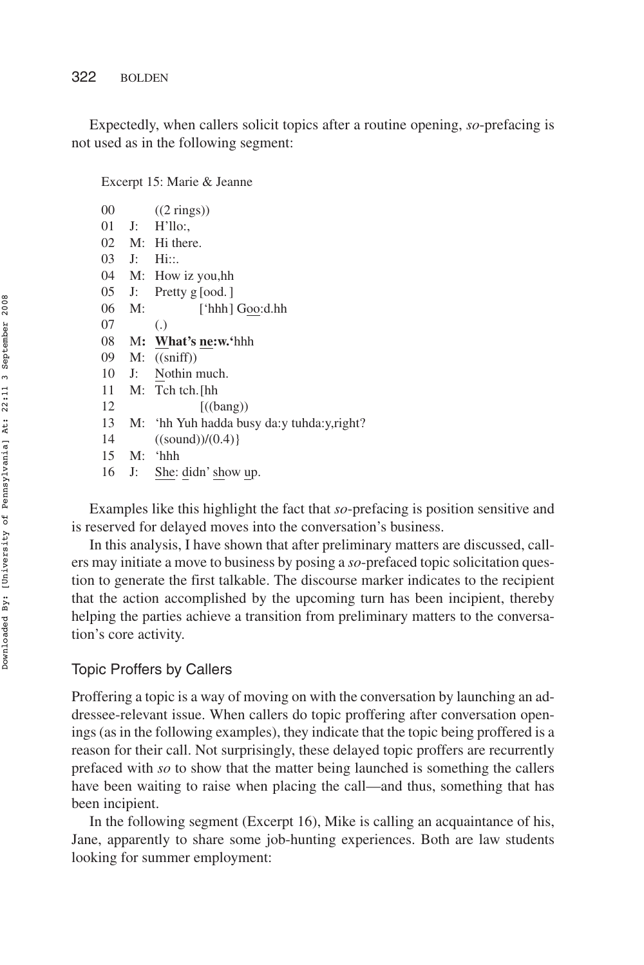Expectedly, when callers solicit topics after a routine opening, *so*-prefacing is not used as in the following segment:

Excerpt 15: Marie & Jeanne

| 00 |       | $((2 \text{ rings}))$                     |
|----|-------|-------------------------------------------|
| 01 | J:    | H'llo.                                    |
| 02 |       | M: Hi there.                              |
| 03 | J:    | Hi::.                                     |
| 04 |       | M: How iz you,hh                          |
| 05 | J:    | Pretty $g$ [ood.]                         |
| 06 | M:    | ['hhh] Goo:d.hh                           |
| 07 |       | $\left( .\right)$                         |
| 08 |       | M: What's ne:w.'hhh                       |
| 09 |       | $M:$ ((sniff))                            |
| 10 | $J$ : | Nothin much.                              |
| 11 |       | $M:$ Tch tch. [hh                         |
| 12 |       | $((\text{bang}))$                         |
| 13 | $M$ : | 'hh Yuh hadda busy da: y tuhda: y, right? |
| 14 |       | ((sound)/(0.4))                           |
| 15 | M:    | ʻhhh                                      |
| 16 | J:    | She: didn's how up.                       |

Examples like this highlight the fact that *so*-prefacing is position sensitive and is reserved for delayed moves into the conversation's business.

In this analysis, I have shown that after preliminary matters are discussed, callers may initiate a move to business by posing a *so*-prefaced topic solicitation question to generate the first talkable. The discourse marker indicates to the recipient that the action accomplished by the upcoming turn has been incipient, thereby helping the parties achieve a transition from preliminary matters to the conversation's core activity.

## Topic Proffers by Callers

Proffering a topic is a way of moving on with the conversation by launching an addressee-relevant issue. When callers do topic proffering after conversation openings (as in the following examples), they indicate that the topic being proffered is a reason for their call. Not surprisingly, these delayed topic proffers are recurrently prefaced with *so* to show that the matter being launched is something the callers have been waiting to raise when placing the call—and thus, something that has been incipient.

In the following segment (Excerpt 16), Mike is calling an acquaintance of his, Jane, apparently to share some job-hunting experiences. Both are law students looking for summer employment: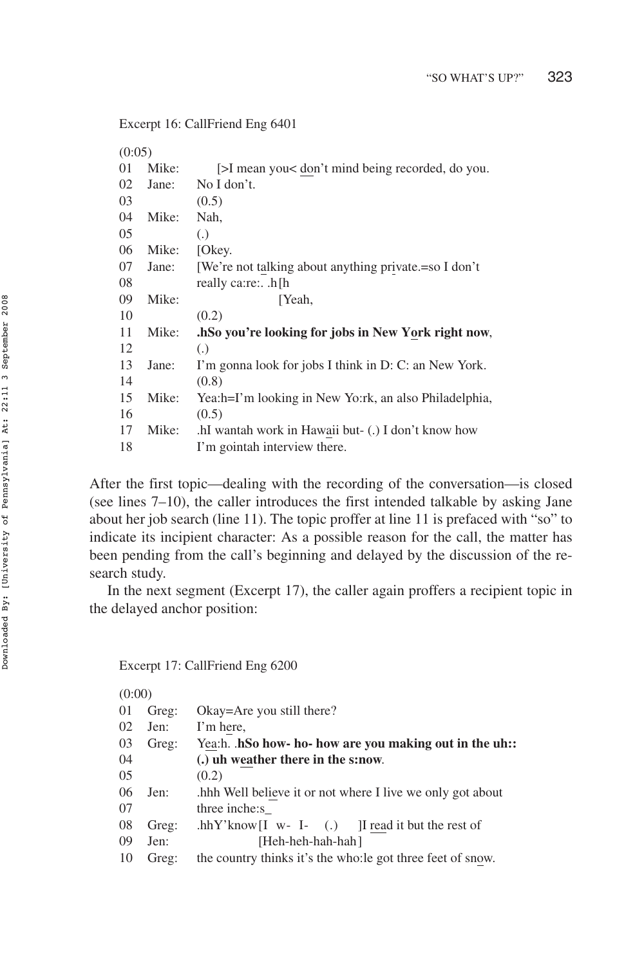Excerpt 16: CallFriend Eng 6401

| (0:05) |       |                                                       |  |
|--------|-------|-------------------------------------------------------|--|
| 01     | Mike: | [>I mean you< don't mind being recorded, do you.      |  |
| 02     | Jane: | No I don't.                                           |  |
| 03     |       | (0.5)                                                 |  |
| 04     | Mike: | Nah,                                                  |  |
| 05     |       | $\left( .\right)$                                     |  |
| 06     | Mike: | [Okey.                                                |  |
| 07     | Jane: | [We're not talking about anything private.=so I don't |  |
| 08     |       | really ca:re:h[h                                      |  |
| 09     | Mike: | [Yeah,                                                |  |
| 10     |       | (0.2)                                                 |  |
| 11     | Mike: | .hSo you're looking for jobs in New York right now,   |  |
| 12     |       | (.)                                                   |  |
| 13     | Jane: | I'm gonna look for jobs I think in D: C: an New York. |  |
| 14     |       | (0.8)                                                 |  |
| 15     | Mike: | Yea:h=I'm looking in New Yo:rk, an also Philadelphia, |  |
| 16     |       | (0.5)                                                 |  |
| 17     | Mike: | .hI wantah work in Hawaii but- (.) I don't know how   |  |
| 18     |       | I'm gointah interview there.                          |  |

After the first topic—dealing with the recording of the conversation—is closed (see lines 7–10), the caller introduces the first intended talkable by asking Jane about her job search (line 11). The topic proffer at line 11 is prefaced with "so" to indicate its incipient character: As a possible reason for the call, the matter has been pending from the call's beginning and delayed by the discussion of the research study.

In the next segment (Excerpt 17), the caller again proffers a recipient topic in the delayed anchor position:

Excerpt 17: CallFriend Eng 6200

(0:00)

| 01 | Greg: | Okay=Are you still there?                                   |
|----|-------|-------------------------------------------------------------|
| 02 | Jen:  | I'm here,                                                   |
| 03 | Greg: | Yea:h. hSo how- ho- how are you making out in the uh::      |
| 04 |       | (.) uh weather there in the s:now.                          |
| 05 |       | (0.2)                                                       |
| 06 | Jen:  | hhh Well believe it or not where I live we only got about   |
| 07 |       | three inche:s                                               |
| 08 | Greg: | .hhY'know $[I \t w - I - )$ I read it but the rest of       |
| 09 | Jen:  | [Heh-heh-hah-hah]                                           |
| 10 | Greg: | the country thinks it's the who: le got three feet of snow. |
|    |       |                                                             |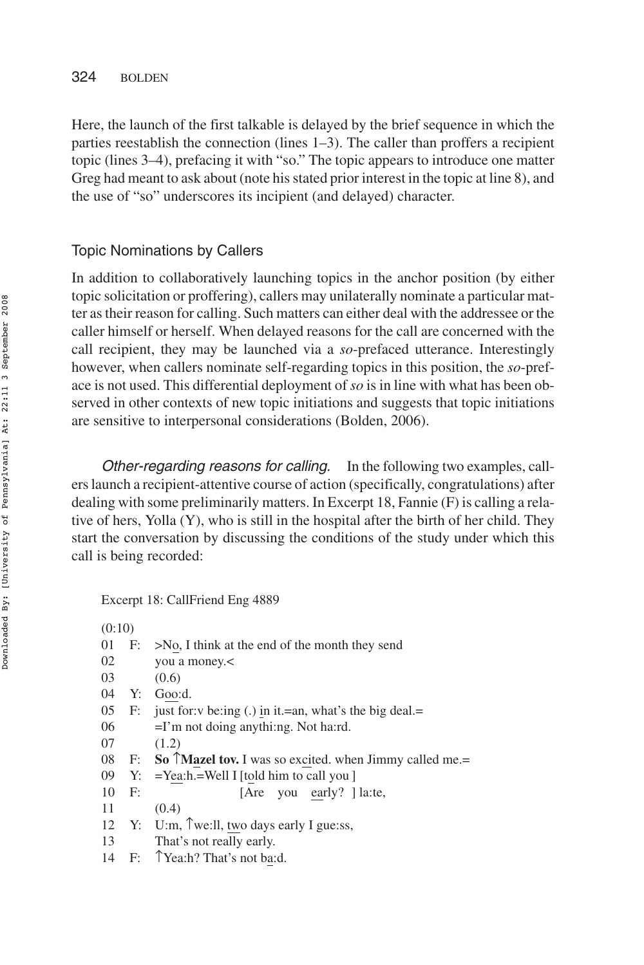## 324 BOLDEN

Here, the launch of the first talkable is delayed by the brief sequence in which the parties reestablish the connection (lines 1–3). The caller than proffers a recipient topic (lines 3–4), prefacing it with "so." The topic appears to introduce one matter Greg had meant to ask about (note his stated prior interest in the topic at line 8), and the use of "so" underscores its incipient (and delayed) character.

# Topic Nominations by Callers

In addition to collaboratively launching topics in the anchor position (by either topic solicitation or proffering), callers may unilaterally nominate a particular matter as their reason for calling. Such matters can either deal with the addressee or the caller himself or herself. When delayed reasons for the call are concerned with the call recipient, they may be launched via a *so*-prefaced utterance. Interestingly however, when callers nominate self-regarding topics in this position, the *so*-preface is not used. This differential deployment of *so* is in line with what has been observed in other contexts of new topic initiations and suggests that topic initiations are sensitive to interpersonal considerations (Bolden, 2006).

Other-regarding reasons for calling. In the following two examples, callers launch a recipient-attentive course of action (specifically, congratulations) after dealing with some preliminarily matters. In Excerpt 18, Fannie (F) is calling a relative of hers, Yolla (Y), who is still in the hospital after the birth of her child. They start the conversation by discussing the conditions of the study under which this call is being recorded:

Excerpt 18: CallFriend Eng 4889

| (0:10) |       |                                                                        |
|--------|-------|------------------------------------------------------------------------|
| 01     |       | $F: \rightarrow No$ , I think at the end of the month they send        |
| 02     |       | you a money.                                                           |
| 03     |       | (0.6)                                                                  |
| 04     | Y:    | Goo:d.                                                                 |
| 05     |       | F: just for: v be:ing (.) in it.=an, what's the big deal.=             |
| 06     |       | $=$ I'm not doing anythi:ng. Not ha:rd.                                |
| 07     |       | (1.2)                                                                  |
|        |       | 08 F: So $\hat{)}$ Mazel tov. I was so excited. when Jimmy called me.= |
| 09     |       | $Y: = \text{Year}$ : $=$ Yea:h.=Well I [told him to call you ]         |
| 10     | F:    | [Are you early? ] la:te,                                               |
| 11     |       | (0.4)                                                                  |
| 12     |       | Y: U:m, $\hat{ }$ we:ll, two days early I gue:ss,                      |
| 13     |       | That's not really early.                                               |
|        | 14 F: | TYea:h? That's not ba:d.                                               |
|        |       |                                                                        |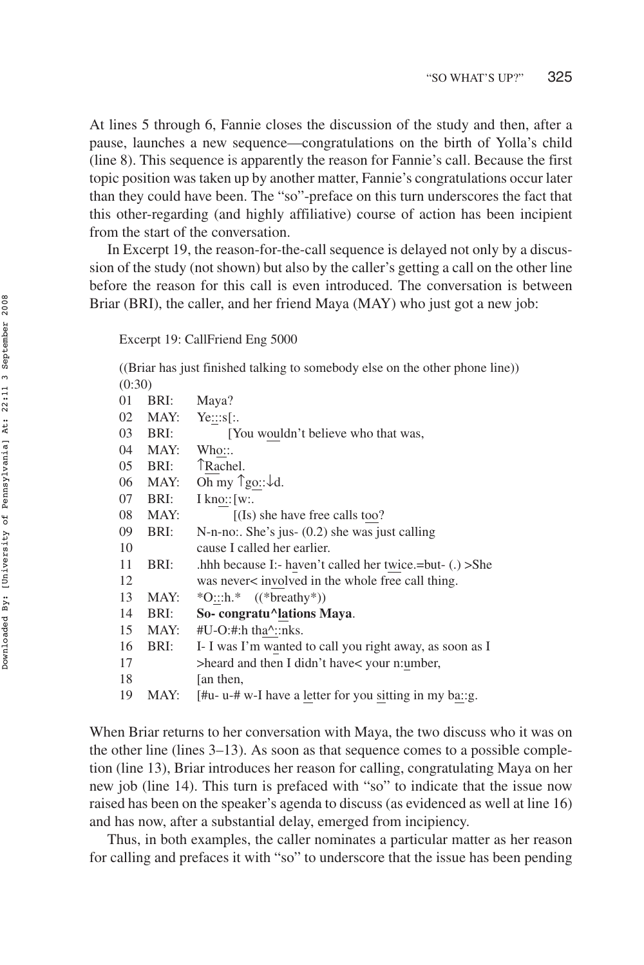At lines 5 through 6, Fannie closes the discussion of the study and then, after a pause, launches a new sequence—congratulations on the birth of Yolla's child (line 8). This sequence is apparently the reason for Fannie's call. Because the first topic position was taken up by another matter, Fannie's congratulations occur later than they could have been. The "so"-preface on this turn underscores the fact that this other-regarding (and highly affiliative) course of action has been incipient from the start of the conversation.

In Excerpt 19, the reason-for-the-call sequence is delayed not only by a discussion of the study (not shown) but also by the caller's getting a call on the other line before the reason for this call is even introduced. The conversation is between Briar (BRI), the caller, and her friend Maya (MAY) who just got a new job:

Excerpt 19: CallFriend Eng 5000

((Briar has just finished talking to somebody else on the other phone line))  $(0.20)$ 

| $\overline{\mathbf{v}}$ |      |                                                            |
|-------------------------|------|------------------------------------------------------------|
| 01                      | BRI: | Maya?                                                      |
| 02                      | MAY: | Ye::s[:                                                    |
| 03                      | BRI: | [You wouldn't believe who that was,                        |
| 04                      | MAY: | Who::.                                                     |
| 05                      | BRI: | TRachel.                                                   |
| 06                      | MAY: | Oh my $\hat{z}$ go:: $\downarrow d$ .                      |
| 07                      | BRI: | $I$ kno:: $[w:$                                            |
| 08                      | MAY: | $[(Is)$ she have free calls too?                           |
| 09                      | BRI: | N-n-no:. She's jus- $(0.2)$ she was just calling           |
| 10                      |      | cause I called her earlier.                                |
| 11                      | BRI: | .hhh because I:- haven't called her twice.=but- $(.)$ >She |
| 12                      |      | was never< involved in the whole free call thing.          |
| 13                      | MAY: | *O:::h.* $((*breathy*))$                                   |
| 14                      | BRI: | So-congratu^lations Maya.                                  |
| 15                      | MAY: | $#U-O:\n#:h \,tha^$ ::nks.                                 |
| 16                      | BRI: | I- I was I'm wanted to call you right away, as soon as I   |
| 17                      |      | >heard and then I didn't have< your n:umber,               |
| 18                      |      | an then,                                                   |
| 19                      | MAY: | [#u- u-# w-I have a letter for you sitting in my ba::g.    |

When Briar returns to her conversation with Maya, the two discuss who it was on the other line (lines 3–13). As soon as that sequence comes to a possible completion (line 13), Briar introduces her reason for calling, congratulating Maya on her new job (line 14). This turn is prefaced with "so" to indicate that the issue now raised has been on the speaker's agenda to discuss (as evidenced as well at line 16) and has now, after a substantial delay, emerged from incipiency.

Thus, in both examples, the caller nominates a particular matter as her reason for calling and prefaces it with "so" to underscore that the issue has been pending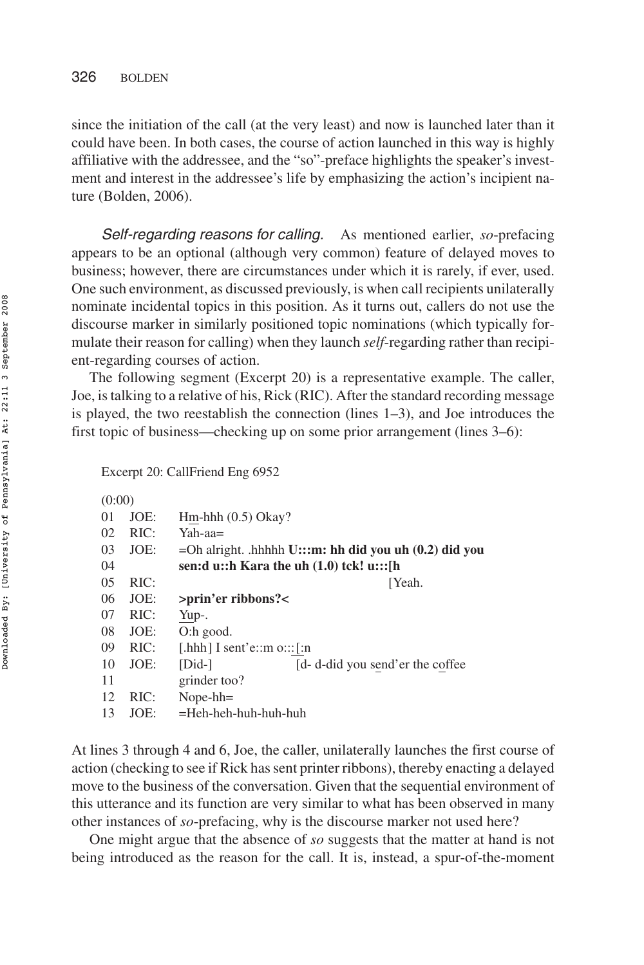since the initiation of the call (at the very least) and now is launched later than it could have been. In both cases, the course of action launched in this way is highly affiliative with the addressee, and the "so"-preface highlights the speaker's investment and interest in the addressee's life by emphasizing the action's incipient nature (Bolden, 2006).

Self-regarding reasons for calling. As mentioned earlier, *so*-prefacing appears to be an optional (although very common) feature of delayed moves to business; however, there are circumstances under which it is rarely, if ever, used. One such environment, as discussed previously, is when call recipients unilaterally nominate incidental topics in this position. As it turns out, callers do not use the discourse marker in similarly positioned topic nominations (which typically formulate their reason for calling) when they launch *self*-regarding rather than recipient-regarding courses of action.

The following segment (Excerpt 20) is a representative example. The caller, Joe, is talking to a relative of his, Rick (RIC). After the standard recording message is played, the two reestablish the connection (lines 1–3), and Joe introduces the first topic of business—checking up on some prior arrangement (lines 3–6):

Excerpt 20: CallFriend Eng 6952

 $(0.00)$ 

| $\overline{\mathbf{v}}$ |      |                                                             |
|-------------------------|------|-------------------------------------------------------------|
| 01                      | JOE: | Hm-hhh $(0.5)$ Okay?                                        |
| 02                      | RIC: | Yah-aa=                                                     |
| 03                      | JOE: | $=$ Oh alright. .hhhhh U:::m: hh did you uh $(0.2)$ did you |
| 04                      |      | sen:d u::h Kara the uh $(1.0)$ tck! u:::[h                  |
| 05                      | RIC: | ⊺Yeah.                                                      |
| 06                      | JOE: | >prin'er ribbons? <                                         |
| 07                      | RIC: | Yup-.                                                       |
| 08                      | JOE: | $O:$ h good.                                                |
| 09                      | RIC: | [.hhh] I sent'e::m $o::[:n]$                                |
| 10                      | JOE: | $[Did-]$<br>[d- d-did you send'er the coffee]               |
| 11                      |      | grinder too?                                                |
| 12                      | RIC: | $Nope-hh=$                                                  |
| 13                      | JOE: | $=$ Heh-heh-huh-huh-huh                                     |
|                         |      |                                                             |

At lines 3 through 4 and 6, Joe, the caller, unilaterally launches the first course of action (checking to see if Rick has sent printer ribbons), thereby enacting a delayed move to the business of the conversation. Given that the sequential environment of this utterance and its function are very similar to what has been observed in many other instances of *so*-prefacing, why is the discourse marker not used here?

One might argue that the absence of *so* suggests that the matter at hand is not being introduced as the reason for the call. It is, instead, a spur-of-the-moment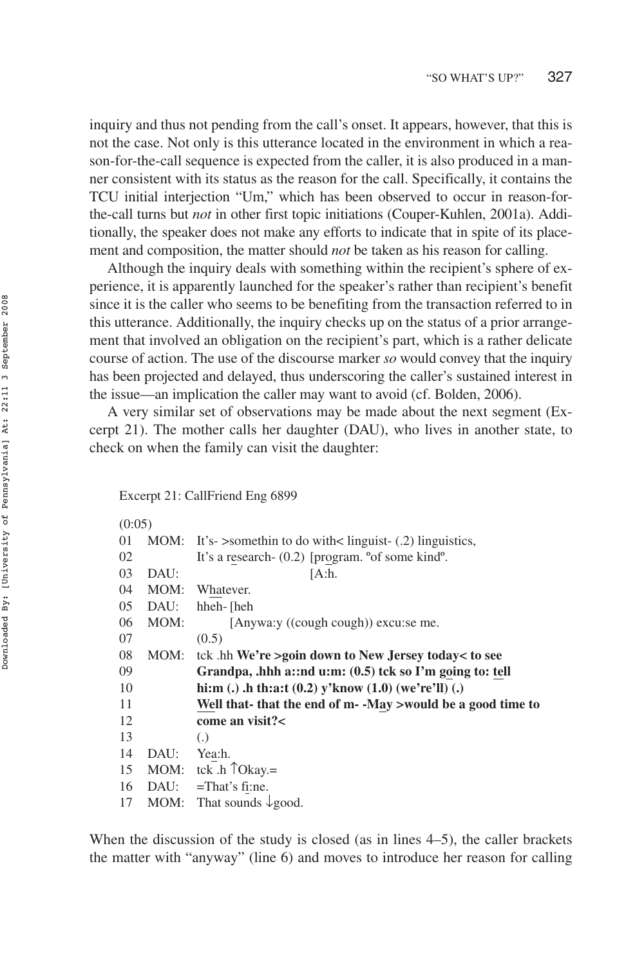inquiry and thus not pending from the call's onset. It appears, however, that this is not the case. Not only is this utterance located in the environment in which a reason-for-the-call sequence is expected from the caller, it is also produced in a manner consistent with its status as the reason for the call. Specifically, it contains the TCU initial interjection "Um," which has been observed to occur in reason-forthe-call turns but *not* in other first topic initiations (Couper-Kuhlen, 2001a). Additionally, the speaker does not make any efforts to indicate that in spite of its placement and composition, the matter should *not* be taken as his reason for calling.

Although the inquiry deals with something within the recipient's sphere of experience, it is apparently launched for the speaker's rather than recipient's benefit since it is the caller who seems to be benefiting from the transaction referred to in this utterance. Additionally, the inquiry checks up on the status of a prior arrangement that involved an obligation on the recipient's part, which is a rather delicate course of action. The use of the discourse marker *so* would convey that the inquiry has been projected and delayed, thus underscoring the caller's sustained interest in the issue—an implication the caller may want to avoid (cf. Bolden, 2006).

A very similar set of observations may be made about the next segment (Excerpt 21). The mother calls her daughter (DAU), who lives in another state, to check on when the family can visit the daughter:

Excerpt 21: CallFriend Eng 6899

| (0:05) |      |                                                                       |  |
|--------|------|-----------------------------------------------------------------------|--|
| 01     |      | MOM: It's- $>$ somethin to do with $<$ linguist- $(0.2)$ linguistics, |  |
| 02     |      | It's a research- $(0.2)$ [program. $\degree$ of some kind $\degree$ . |  |
| 03     | DAU: | [A:h.                                                                 |  |
| 04     | MOM: | Whatever.                                                             |  |
| 05     | DAU: | hheh-[heh                                                             |  |
| 06     | MOM: | [Anywa:y ((cough cough)) excu:se me.                                  |  |
| 07     |      | (0.5)                                                                 |  |
| 08     | MOM: | tck .hh We're >goin down to New Jersey today< to see                  |  |
| 09     |      | Grandpa, .hhh a::nd u:m: $(0.5)$ tck so I'm going to: tell            |  |
| 10     |      | hi:m (.) .h th:a:t $(0.2)$ y'know $(1.0)$ (we're'll) (.)              |  |
| 11     |      | Well that- that the end of m- -May >would be a good time to           |  |
| 12     |      | come an visit?<                                                       |  |
| 13     |      | $\left( .\right)$                                                     |  |
| 14     | DAU: | Yea:h.                                                                |  |
| 15     |      | MOM: tck $\cdot$ h $\hat{\uparrow}$ Okay.=                            |  |
| 16     | DAU: | $=$ That's fi:ne.                                                     |  |
| 17     | MOM: | That sounds $\downarrow$ good.                                        |  |

When the discussion of the study is closed (as in lines 4–5), the caller brackets the matter with "anyway" (line 6) and moves to introduce her reason for calling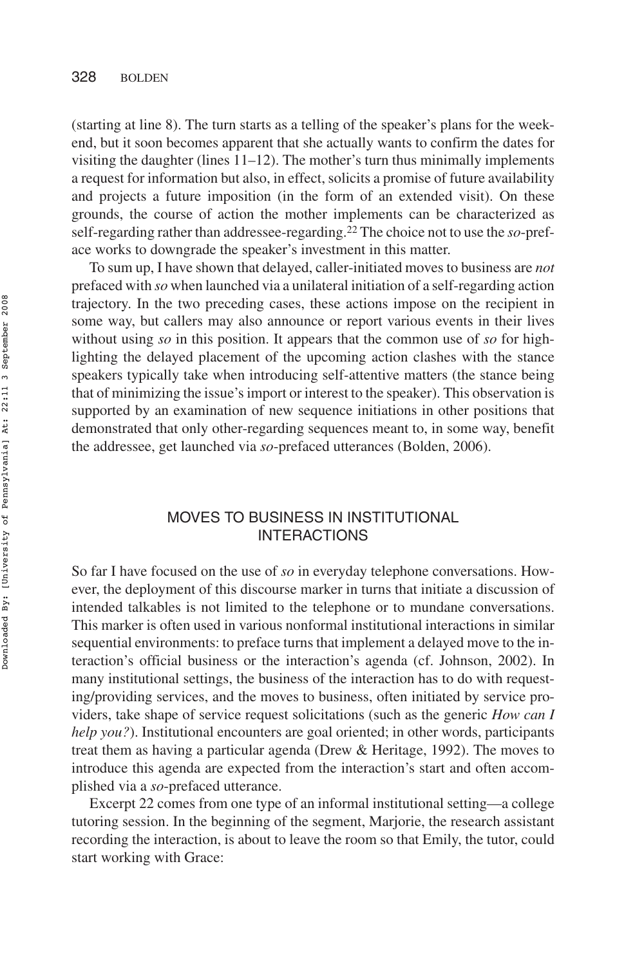(starting at line 8). The turn starts as a telling of the speaker's plans for the weekend, but it soon becomes apparent that she actually wants to confirm the dates for visiting the daughter (lines  $11-12$ ). The mother's turn thus minimally implements a request for information but also, in effect, solicits a promise of future availability and projects a future imposition (in the form of an extended visit). On these grounds, the course of action the mother implements can be characterized as self-regarding rather than addressee-regarding.22 The choice not to use the *so*-preface works to downgrade the speaker's investment in this matter.

To sum up, I have shown that delayed, caller-initiated moves to business are *not* prefaced with *so* when launched via a unilateral initiation of a self-regarding action trajectory. In the two preceding cases, these actions impose on the recipient in some way, but callers may also announce or report various events in their lives without using *so* in this position. It appears that the common use of *so* for highlighting the delayed placement of the upcoming action clashes with the stance speakers typically take when introducing self-attentive matters (the stance being that of minimizing the issue's import or interest to the speaker). This observation is supported by an examination of new sequence initiations in other positions that demonstrated that only other-regarding sequences meant to, in some way, benefit the addressee, get launched via *so*-prefaced utterances (Bolden, 2006).

# MOVES TO BUSINESS IN INSTITUTIONAL INTERACTIONS

So far I have focused on the use of *so* in everyday telephone conversations. However, the deployment of this discourse marker in turns that initiate a discussion of intended talkables is not limited to the telephone or to mundane conversations. This marker is often used in various nonformal institutional interactions in similar sequential environments: to preface turns that implement a delayed move to the interaction's official business or the interaction's agenda (cf. Johnson, 2002). In many institutional settings, the business of the interaction has to do with requesting/providing services, and the moves to business, often initiated by service providers, take shape of service request solicitations (such as the generic *How can I help you?*). Institutional encounters are goal oriented; in other words, participants treat them as having a particular agenda (Drew & Heritage, 1992). The moves to introduce this agenda are expected from the interaction's start and often accomplished via a *so*-prefaced utterance.

Excerpt 22 comes from one type of an informal institutional setting—a college tutoring session. In the beginning of the segment, Marjorie, the research assistant recording the interaction, is about to leave the room so that Emily, the tutor, could start working with Grace: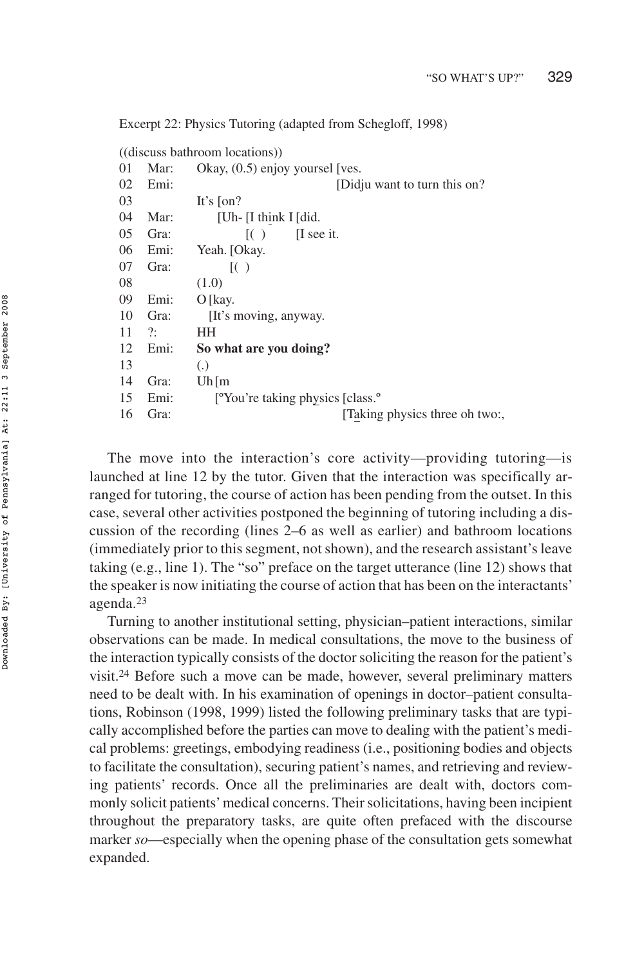Excerpt 22: Physics Tutoring (adapted from Schegloff, 1998)

|    |      | ((discuss bathroom locations))                            |
|----|------|-----------------------------------------------------------|
| 01 | Mar: | Okay, $(0.5)$ enjoy yoursel [ves.                         |
| 02 | Emi: | [Didju want to turn this on?                              |
| 03 |      | It's $\lceil$ on?                                         |
| 04 | Mar: | [Uh- [I think I [did.]                                    |
| 05 | Gra: | I see it.<br>( )                                          |
| 06 | Emi: | Yeah. [Okay.                                              |
| 07 | Gra: | (                                                         |
| 08 |      | (1.0)                                                     |
| 09 | Emi: | $O$ [kay.                                                 |
| 10 | Gra: | [It's moving, anyway.                                     |
| 11 | ?:   | HН                                                        |
| 12 | Emi: | So what are you doing?                                    |
| 13 |      | $\left( .\right)$                                         |
| 14 | Gra: | Uh[m]                                                     |
| 15 | Emi: | <sup>o</sup> You're taking physics [class. <sup>o</sup> ] |
| 16 | Gra: | [Taking physics three oh two:,                            |
|    |      |                                                           |

The move into the interaction's core activity—providing tutoring—is launched at line 12 by the tutor. Given that the interaction was specifically arranged for tutoring, the course of action has been pending from the outset. In this case, several other activities postponed the beginning of tutoring including a discussion of the recording (lines 2–6 as well as earlier) and bathroom locations (immediately prior to this segment, not shown), and the research assistant's leave taking (e.g., line 1). The "so" preface on the target utterance (line 12) shows that the speaker is now initiating the course of action that has been on the interactants' agenda.23

Turning to another institutional setting, physician–patient interactions, similar observations can be made. In medical consultations, the move to the business of the interaction typically consists of the doctor soliciting the reason for the patient's visit.24 Before such a move can be made, however, several preliminary matters need to be dealt with. In his examination of openings in doctor–patient consultations, Robinson (1998, 1999) listed the following preliminary tasks that are typically accomplished before the parties can move to dealing with the patient's medical problems: greetings, embodying readiness (i.e., positioning bodies and objects to facilitate the consultation), securing patient's names, and retrieving and reviewing patients' records. Once all the preliminaries are dealt with, doctors commonly solicit patients'medical concerns. Their solicitations, having been incipient throughout the preparatory tasks, are quite often prefaced with the discourse marker *so*—especially when the opening phase of the consultation gets somewhat expanded.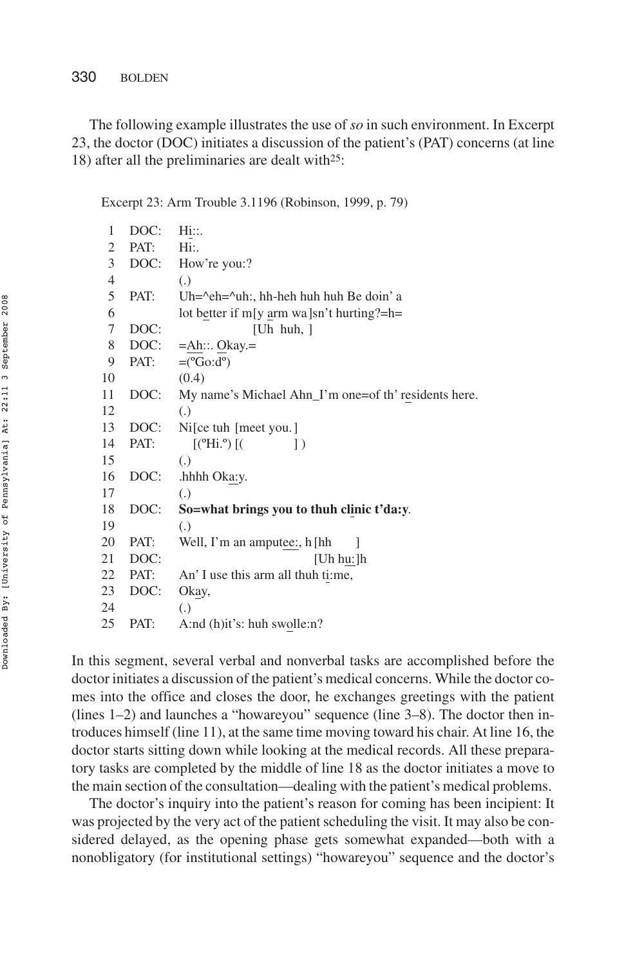The following example illustrates the use of *so* in such environment. In Excerpt 23, the doctor (DOC) initiates a discussion of the patient's (PAT) concerns (at line 18) after all the preliminaries are dealt with25:

Excerpt 23: Arm Trouble 3.1196 (Robinson, 1999, p. 79)

| 1  | DOC: | Hi::.                                                        |
|----|------|--------------------------------------------------------------|
| 2  | PAT: | Hi:.                                                         |
| 3  | DOC: | How're you:?                                                 |
| 4  |      | (.)                                                          |
| 5  | PAT: | Uh= $\text{A}$ eh= $\text{A}$ uh:, hh-heh huh huh Be doin' a |
| 6  |      | lot better if m[y arm wa]sn't hurting?=h=                    |
| 7  | DOC: | [Uh huh, $\vert$                                             |
| 8  | DOC: | $=$ Ah::. Okay. $=$                                          |
| 9  | PAT: | $=(\mathrm{^oGo:}\mathrm{d}^{\mathrm{o}})$                   |
| 10 |      | (0.4)                                                        |
| 11 | DOC: | My name's Michael Ahn_I'm one=of th' residents here.         |
| 12 |      | $\left( .\right)$                                            |
| 13 | DOC: | Ni[ce tuh[meet you.]                                         |
| 14 | PAT: | $[(^{\circ}$ Hi. <sup>o</sup> ) $[$ (<br>$\left  \ \right $  |
| 15 |      | $\left( .\right)$                                            |
| 16 | DOC: | .hhhh Oka:y.                                                 |
| 17 |      | $\left( .\right)$                                            |
| 18 | DOC: | So=what brings you to thuh clinic t'da:y.                    |
| 19 |      | $\left( .\right)$                                            |
| 20 | PAT: | Well, I'm an amputee:, h [hh                                 |
| 21 | DOC: | [Uh hu:]h                                                    |
| 22 | PAT: | An' I use this arm all thuh ti:me,                           |
| 23 | DOC: | Okay,                                                        |
| 24 |      | $\left( .\right)$                                            |
| 25 | PAT: | A:nd (h)it's: huh swolle:n?                                  |

In this segment, several verbal and nonverbal tasks are accomplished before the doctor initiates a discussion of the patient's medical concerns. While the doctor comes into the office and closes the door, he exchanges greetings with the patient (lines 1–2) and launches a "howareyou" sequence (line 3–8). The doctor then introduces himself (line 11), at the same time moving toward his chair. At line 16, the doctor starts sitting down while looking at the medical records. All these preparatory tasks are completed by the middle of line 18 as the doctor initiates a move to the main section of the consultation—dealing with the patient's medical problems.

The doctor's inquiry into the patient's reason for coming has been incipient: It was projected by the very act of the patient scheduling the visit. It may also be considered delayed, as the opening phase gets somewhat expanded—both with a nonobligatory (for institutional settings) "howareyou" sequence and the doctor's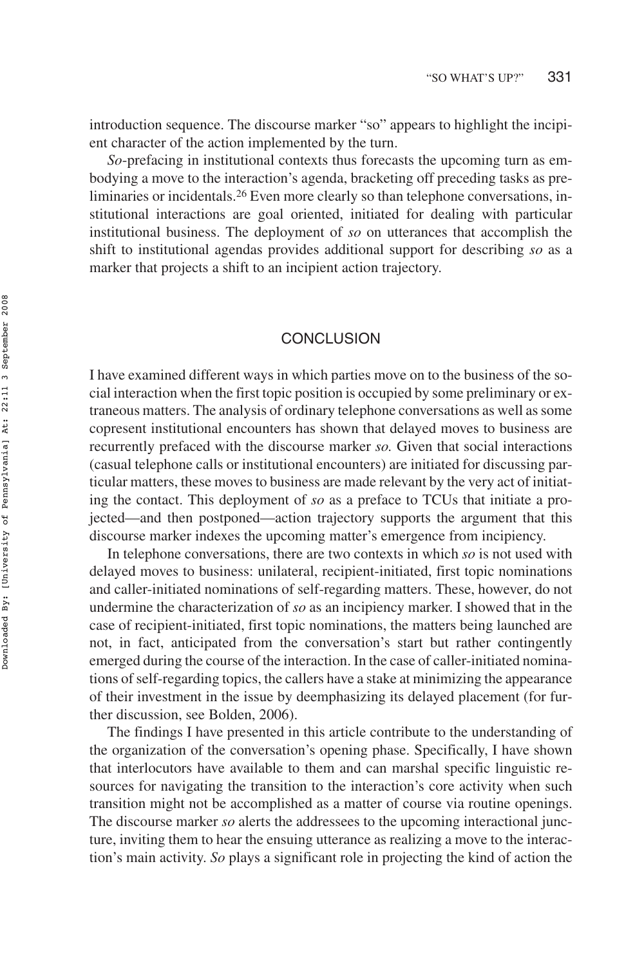introduction sequence. The discourse marker "so" appears to highlight the incipient character of the action implemented by the turn.

*So*-prefacing in institutional contexts thus forecasts the upcoming turn as embodying a move to the interaction's agenda, bracketing off preceding tasks as preliminaries or incidentals.26 Even more clearly so than telephone conversations, institutional interactions are goal oriented, initiated for dealing with particular institutional business. The deployment of *so* on utterances that accomplish the shift to institutional agendas provides additional support for describing *so* as a marker that projects a shift to an incipient action trajectory.

## **CONCLUSION**

I have examined different ways in which parties move on to the business of the social interaction when the first topic position is occupied by some preliminary or extraneous matters. The analysis of ordinary telephone conversations as well as some copresent institutional encounters has shown that delayed moves to business are recurrently prefaced with the discourse marker *so.* Given that social interactions (casual telephone calls or institutional encounters) are initiated for discussing particular matters, these moves to business are made relevant by the very act of initiating the contact. This deployment of *so* as a preface to TCUs that initiate a projected—and then postponed—action trajectory supports the argument that this discourse marker indexes the upcoming matter's emergence from incipiency.

In telephone conversations, there are two contexts in which *so* is not used with delayed moves to business: unilateral, recipient-initiated, first topic nominations and caller-initiated nominations of self-regarding matters. These, however, do not undermine the characterization of *so* as an incipiency marker. I showed that in the case of recipient-initiated, first topic nominations, the matters being launched are not, in fact, anticipated from the conversation's start but rather contingently emerged during the course of the interaction. In the case of caller-initiated nominations of self-regarding topics, the callers have a stake at minimizing the appearance of their investment in the issue by deemphasizing its delayed placement (for further discussion, see Bolden, 2006).

The findings I have presented in this article contribute to the understanding of the organization of the conversation's opening phase. Specifically, I have shown that interlocutors have available to them and can marshal specific linguistic resources for navigating the transition to the interaction's core activity when such transition might not be accomplished as a matter of course via routine openings. The discourse marker *so* alerts the addressees to the upcoming interactional juncture, inviting them to hear the ensuing utterance as realizing a move to the interaction's main activity. *So* plays a significant role in projecting the kind of action the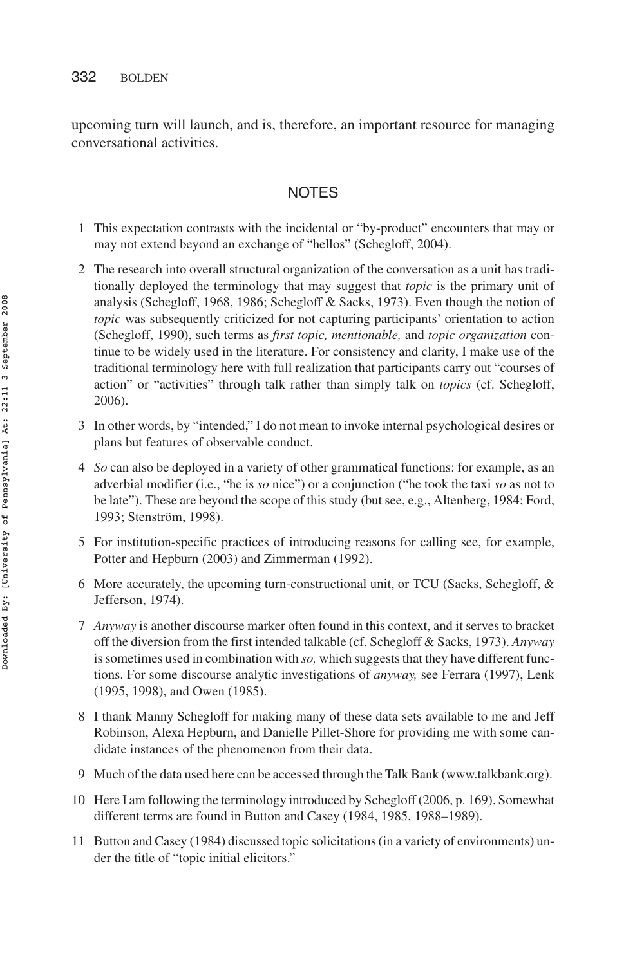upcoming turn will launch, and is, therefore, an important resource for managing conversational activities.

# NOTES

- 1 This expectation contrasts with the incidental or "by-product" encounters that may or may not extend beyond an exchange of "hellos" (Schegloff, 2004).
- 2 The research into overall structural organization of the conversation as a unit has traditionally deployed the terminology that may suggest that *topic* is the primary unit of analysis (Schegloff, 1968, 1986; Schegloff & Sacks, 1973). Even though the notion of *topic* was subsequently criticized for not capturing participants' orientation to action (Schegloff, 1990), such terms as *first topic, mentionable,* and *topic organization* continue to be widely used in the literature. For consistency and clarity, I make use of the traditional terminology here with full realization that participants carry out "courses of action" or "activities" through talk rather than simply talk on *topics* (cf. Schegloff, 2006).
- 3 In other words, by "intended," I do not mean to invoke internal psychological desires or plans but features of observable conduct.
- 4 *So* can also be deployed in a variety of other grammatical functions: for example, as an adverbial modifier (i.e., "he is *so* nice") or a conjunction ("he took the taxi *so* as not to be late"). These are beyond the scope of this study (but see, e.g., Altenberg, 1984; Ford, 1993; Stenström, 1998).
- 5 For institution-specific practices of introducing reasons for calling see, for example, Potter and Hepburn (2003) and Zimmerman (1992).
- 6 More accurately, the upcoming turn-constructional unit, or TCU (Sacks, Schegloff, & Jefferson, 1974).
- 7 *Anyway* is another discourse marker often found in this context, and it serves to bracket off the diversion from the first intended talkable (cf. Schegloff & Sacks, 1973). *Anyway* is sometimes used in combination with *so,* which suggests that they have different functions. For some discourse analytic investigations of *anyway,* see Ferrara (1997), Lenk (1995, 1998), and Owen (1985).
- 8 I thank Manny Schegloff for making many of these data sets available to me and Jeff Robinson, Alexa Hepburn, and Danielle Pillet-Shore for providing me with some candidate instances of the phenomenon from their data.
- 9 Much of the data used here can be accessed through the Talk Bank (www.talkbank.org).
- 10 Here I am following the terminology introduced by Schegloff (2006, p. 169). Somewhat different terms are found in Button and Casey (1984, 1985, 1988–1989).
- 11 Button and Casey (1984) discussed topic solicitations (in a variety of environments) under the title of "topic initial elicitors."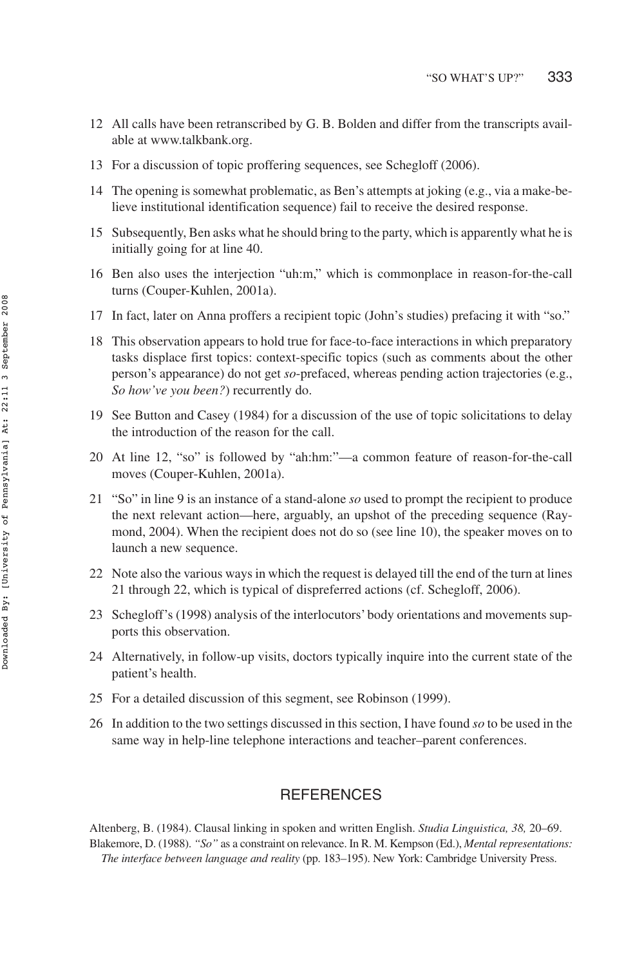- 12 All calls have been retranscribed by G. B. Bolden and differ from the transcripts available at www.talkbank.org.
- 13 For a discussion of topic proffering sequences, see Schegloff (2006).
- 14 The opening is somewhat problematic, as Ben's attempts at joking (e.g., via a make-believe institutional identification sequence) fail to receive the desired response.
- 15 Subsequently, Ben asks what he should bring to the party, which is apparently what he is initially going for at line 40.
- 16 Ben also uses the interjection "uh:m," which is commonplace in reason-for-the-call turns (Couper-Kuhlen, 2001a).
- 17 In fact, later on Anna proffers a recipient topic (John's studies) prefacing it with "so."
- 18 This observation appears to hold true for face-to-face interactions in which preparatory tasks displace first topics: context-specific topics (such as comments about the other person's appearance) do not get *so*-prefaced, whereas pending action trajectories (e.g., *So how've you been?*) recurrently do.
- 19 See Button and Casey (1984) for a discussion of the use of topic solicitations to delay the introduction of the reason for the call.
- 20 At line 12, "so" is followed by "ah:hm:"—a common feature of reason-for-the-call moves (Couper-Kuhlen, 2001a).
- 21 "So" in line 9 is an instance of a stand-alone *so* used to prompt the recipient to produce the next relevant action—here, arguably, an upshot of the preceding sequence (Raymond, 2004). When the recipient does not do so (see line 10), the speaker moves on to launch a new sequence.
- 22 Note also the various ways in which the request is delayed till the end of the turn at lines 21 through 22, which is typical of dispreferred actions (cf. Schegloff, 2006).
- 23 Schegloff's (1998) analysis of the interlocutors' body orientations and movements supports this observation.
- 24 Alternatively, in follow-up visits, doctors typically inquire into the current state of the patient's health.
- 25 For a detailed discussion of this segment, see Robinson (1999).
- 26 In addition to the two settings discussed in this section, I have found *so* to be used in the same way in help-line telephone interactions and teacher–parent conferences.

# **REFERENCES**

Altenberg, B. (1984). Clausal linking in spoken and written English. *Studia Linguistica, 38,* 20–69. Blakemore, D. (1988). *"So"* as a constraint on relevance. In R. M. Kempson (Ed.), *Mental representations: The interface between language and reality* (pp. 183–195). New York: Cambridge University Press.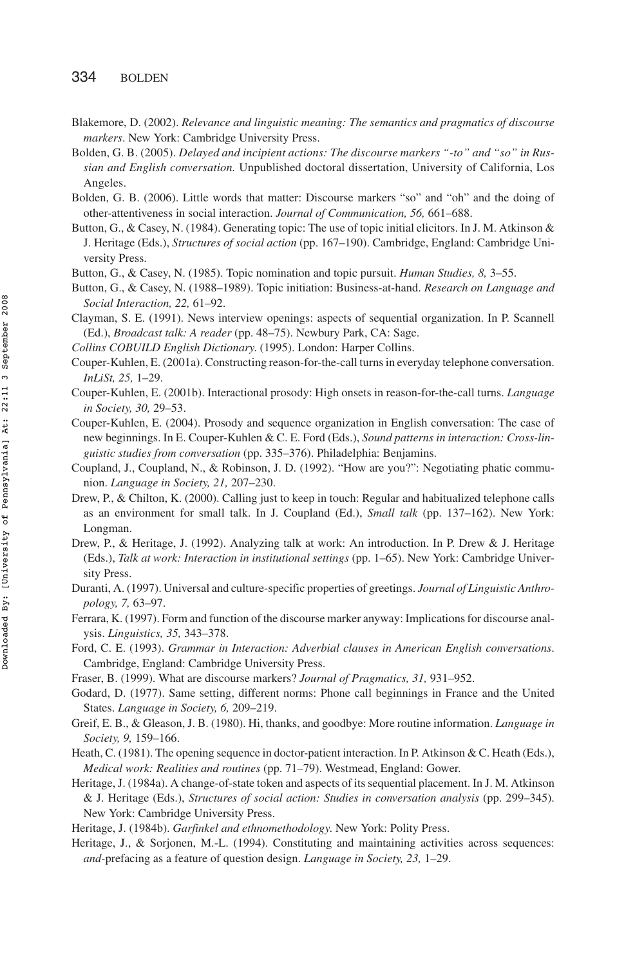- Blakemore, D. (2002). *Relevance and linguistic meaning: The semantics and pragmatics of discourse markers*. New York: Cambridge University Press.
- Bolden, G. B. (2005). *Delayed and incipient actions: The discourse markers "-to" and "so" in Russian and English conversation.* Unpublished doctoral dissertation, University of California, Los Angeles.
- Bolden, G. B. (2006). Little words that matter: Discourse markers "so" and "oh" and the doing of other-attentiveness in social interaction. *Journal of Communication, 56,* 661–688.
- Button, G., & Casey, N. (1984). Generating topic: The use of topic initial elicitors. In J. M. Atkinson & J. Heritage (Eds.), *Structures of social action* (pp. 167–190). Cambridge, England: Cambridge University Press.

Button, G., & Casey, N. (1985). Topic nomination and topic pursuit. *Human Studies, 8,* 3–55.

Button, G., & Casey, N. (1988–1989). Topic initiation: Business-at-hand. *Research on Language and Social Interaction, 22,* 61–92.

Clayman, S. E. (1991). News interview openings: aspects of sequential organization. In P. Scannell (Ed.), *Broadcast talk: A reader* (pp. 48–75). Newbury Park, CA: Sage.

*Collins COBUILD English Dictionary*. (1995). London: Harper Collins.

- Couper-Kuhlen, E. (2001a). Constructing reason-for-the-call turns in everyday telephone conversation. *InLiSt, 25,* 1–29.
- Couper-Kuhlen, E. (2001b). Interactional prosody: High onsets in reason-for-the-call turns. *Language in Society, 30,* 29–53.
- Couper-Kuhlen, E. (2004). Prosody and sequence organization in English conversation: The case of new beginnings. In E. Couper-Kuhlen & C. E. Ford (Eds.), *Sound patterns in interaction: Cross-linguistic studies from conversation* (pp. 335–376). Philadelphia: Benjamins.
- Coupland, J., Coupland, N., & Robinson, J. D. (1992). "How are you?": Negotiating phatic communion. *Language in Society, 21,* 207–230.
- Drew, P., & Chilton, K. (2000). Calling just to keep in touch: Regular and habitualized telephone calls as an environment for small talk. In J. Coupland (Ed.), *Small talk* (pp. 137–162). New York: Longman.
- Drew, P., & Heritage, J. (1992). Analyzing talk at work: An introduction. In P. Drew & J. Heritage (Eds.), *Talk at work: Interaction in institutional settings* (pp. 1–65). New York: Cambridge University Press.
- Duranti, A. (1997). Universal and culture-specific properties of greetings. *Journal of Linguistic Anthropology, 7,* 63–97.
- Ferrara, K. (1997). Form and function of the discourse marker anyway: Implications for discourse analysis. *Linguistics, 35,* 343–378.
- Ford, C. E. (1993). *Grammar in Interaction: Adverbial clauses in American English conversations*. Cambridge, England: Cambridge University Press.
- Fraser, B. (1999). What are discourse markers? *Journal of Pragmatics, 31,* 931–952.
- Godard, D. (1977). Same setting, different norms: Phone call beginnings in France and the United States. *Language in Society, 6,* 209–219.
- Greif, E. B., & Gleason, J. B. (1980). Hi, thanks, and goodbye: More routine information. *Language in Society, 9,* 159–166.
- Heath, C. (1981). The opening sequence in doctor-patient interaction. In P. Atkinson & C. Heath (Eds.), *Medical work: Realities and routines* (pp. 71–79). Westmead, England: Gower.
- Heritage, J. (1984a). A change-of-state token and aspects of its sequential placement. In J. M. Atkinson & J. Heritage (Eds.), *Structures of social action: Studies in conversation analysis* (pp. 299–345). New York: Cambridge University Press.
- Heritage, J. (1984b). *Garfinkel and ethnomethodology*. New York: Polity Press.
- Heritage, J., & Sorjonen, M.-L. (1994). Constituting and maintaining activities across sequences: *and*-prefacing as a feature of question design. *Language in Society, 23,* 1–29.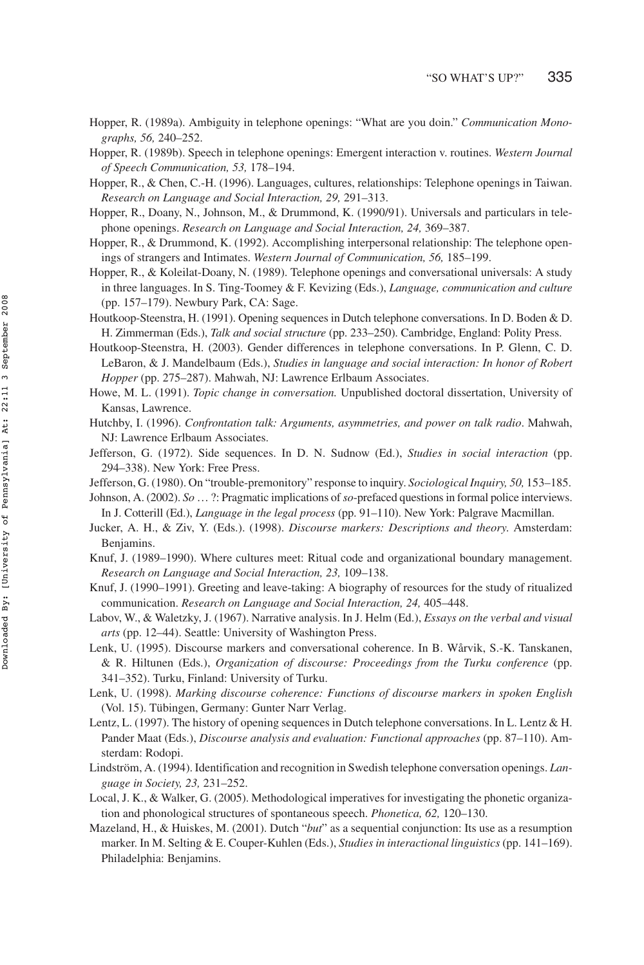- Hopper, R. (1989a). Ambiguity in telephone openings: "What are you doin." *Communication Monographs, 56,* 240–252.
- Hopper, R. (1989b). Speech in telephone openings: Emergent interaction v. routines. *Western Journal of Speech Communication, 53,* 178–194.
- Hopper, R., & Chen, C.-H. (1996). Languages, cultures, relationships: Telephone openings in Taiwan. *Research on Language and Social Interaction, 29,* 291–313.
- Hopper, R., Doany, N., Johnson, M., & Drummond, K. (1990/91). Universals and particulars in telephone openings. *Research on Language and Social Interaction, 24,* 369–387.
- Hopper, R., & Drummond, K. (1992). Accomplishing interpersonal relationship: The telephone openings of strangers and Intimates. *Western Journal of Communication, 56,* 185–199.
- Hopper, R., & Koleilat-Doany, N. (1989). Telephone openings and conversational universals: A study in three languages. In S. Ting-Toomey & F. Kevizing (Eds.), *Language, communication and culture* (pp. 157–179). Newbury Park, CA: Sage.
- Houtkoop-Steenstra, H. (1991). Opening sequences in Dutch telephone conversations. In D. Boden & D. H. Zimmerman (Eds.), *Talk and social structure* (pp. 233–250). Cambridge, England: Polity Press.
- Houtkoop-Steenstra, H. (2003). Gender differences in telephone conversations. In P. Glenn, C. D. LeBaron, & J. Mandelbaum (Eds.), *Studies in language and social interaction: In honor of Robert Hopper* (pp. 275–287). Mahwah, NJ: Lawrence Erlbaum Associates.
- Howe, M. L. (1991). *Topic change in conversation.* Unpublished doctoral dissertation, University of Kansas, Lawrence.
- Hutchby, I. (1996). *Confrontation talk: Arguments, asymmetries, and power on talk radio*. Mahwah, NJ: Lawrence Erlbaum Associates.
- Jefferson, G. (1972). Side sequences. In D. N. Sudnow (Ed.), *Studies in social interaction* (pp. 294–338). New York: Free Press.
- Jefferson, G. (1980). On "trouble-premonitory" response to inquiry. *Sociological Inquiry, 50,* 153–185.
- Johnson, A. (2002). *So* … ?: Pragmatic implications of*so*-prefaced questions in formal police interviews. In J. Cotterill (Ed.), *Language in the legal process* (pp. 91–110). New York: Palgrave Macmillan.
- Jucker, A. H., & Ziv, Y. (Eds.). (1998). *Discourse markers: Descriptions and theory*. Amsterdam: Benjamins.
- Knuf, J. (1989–1990). Where cultures meet: Ritual code and organizational boundary management. *Research on Language and Social Interaction, 23,* 109–138.
- Knuf, J. (1990–1991). Greeting and leave-taking: A biography of resources for the study of ritualized communication. *Research on Language and Social Interaction, 24,* 405–448.
- Labov, W., & Waletzky, J. (1967). Narrative analysis. In J. Helm (Ed.), *Essays on the verbal and visual arts* (pp. 12–44). Seattle: University of Washington Press.
- Lenk, U. (1995). Discourse markers and conversational coherence. In B. Wårvik, S.-K. Tanskanen, & R. Hiltunen (Eds.), *Organization of discourse: Proceedings from the Turku conference* (pp. 341–352). Turku, Finland: University of Turku.
- Lenk, U. (1998). *Marking discourse coherence: Functions of discourse markers in spoken English* (Vol. 15). Tübingen, Germany: Gunter Narr Verlag.
- Lentz, L. (1997). The history of opening sequences in Dutch telephone conversations. In L. Lentz & H. Pander Maat (Eds.), *Discourse analysis and evaluation: Functional approaches* (pp. 87–110). Amsterdam: Rodopi.
- Lindström, A. (1994). Identification and recognition in Swedish telephone conversation openings. *Language in Society, 23,* 231–252.
- Local, J. K., & Walker, G. (2005). Methodological imperatives for investigating the phonetic organization and phonological structures of spontaneous speech. *Phonetica, 62,* 120–130.
- Mazeland, H., & Huiskes, M. (2001). Dutch "*but*" as a sequential conjunction: Its use as a resumption marker. In M. Selting & E. Couper-Kuhlen (Eds.), *Studies in interactional linguistics* (pp. 141–169). Philadelphia: Benjamins.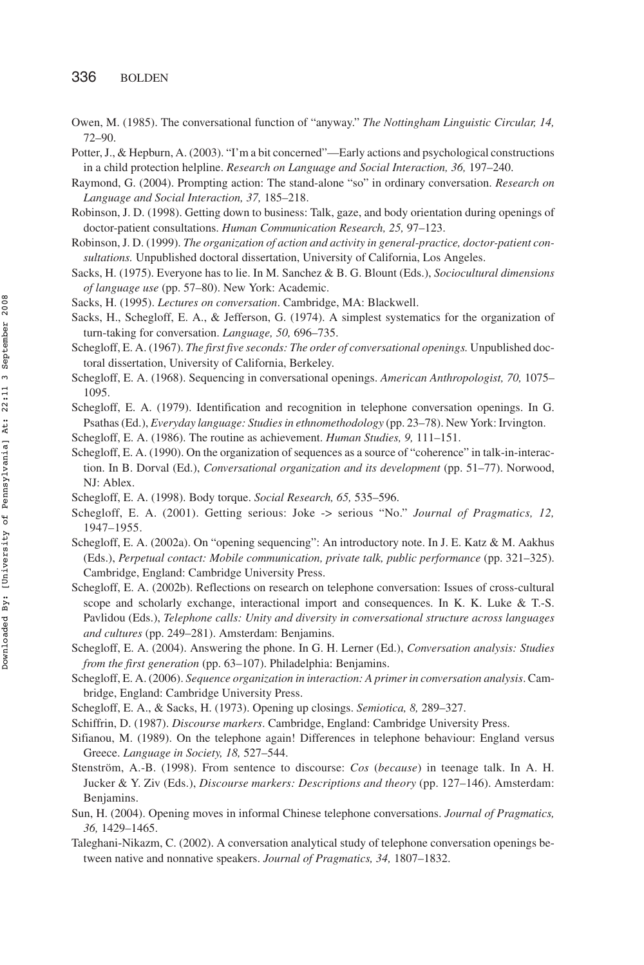- Owen, M. (1985). The conversational function of "anyway." *The Nottingham Linguistic Circular, 14,* 72–90.
- Potter, J., & Hepburn, A. (2003). "I'm a bit concerned"—Early actions and psychological constructions in a child protection helpline. *Research on Language and Social Interaction, 36,* 197–240.
- Raymond, G. (2004). Prompting action: The stand-alone "so" in ordinary conversation. *Research on Language and Social Interaction, 37,* 185–218.
- Robinson, J. D. (1998). Getting down to business: Talk, gaze, and body orientation during openings of doctor-patient consultations. *Human Communication Research, 25,* 97–123.
- Robinson, J. D. (1999). *The organization of action and activity in general-practice, doctor-patient consultations.* Unpublished doctoral dissertation, University of California, Los Angeles.
- Sacks, H. (1975). Everyone has to lie. In M. Sanchez & B. G. Blount (Eds.), *Sociocultural dimensions of language use* (pp. 57–80). New York: Academic.
- Sacks, H. (1995). *Lectures on conversation*. Cambridge, MA: Blackwell.
- Sacks, H., Schegloff, E. A., & Jefferson, G. (1974). A simplest systematics for the organization of turn-taking for conversation. *Language, 50,* 696–735.
- Schegloff, E. A. (1967). *The first five seconds: The order of conversational openings.* Unpublished doctoral dissertation, University of California, Berkeley.
- Schegloff, E. A. (1968). Sequencing in conversational openings. *American Anthropologist, 70,* 1075– 1095.
- Schegloff, E. A. (1979). Identification and recognition in telephone conversation openings. In G. Psathas (Ed.), *Everyday language: Studies in ethnomethodology* (pp. 23–78). New York: Irvington.
- Schegloff, E. A. (1986). The routine as achievement. *Human Studies, 9,* 111–151.
- Schegloff, E. A. (1990). On the organization of sequences as a source of "coherence" in talk-in-interaction. In B. Dorval (Ed.), *Conversational organization and its development* (pp. 51–77). Norwood, NJ: Ablex.
- Schegloff, E. A. (1998). Body torque. *Social Research, 65,* 535–596.
- Schegloff, E. A. (2001). Getting serious: Joke -> serious "No." *Journal of Pragmatics, 12,* 1947–1955.
- Schegloff, E. A. (2002a). On "opening sequencing": An introductory note. In J. E. Katz & M. Aakhus (Eds.), *Perpetual contact: Mobile communication, private talk, public performance* (pp. 321–325). Cambridge, England: Cambridge University Press.
- Schegloff, E. A. (2002b). Reflections on research on telephone conversation: Issues of cross-cultural scope and scholarly exchange, interactional import and consequences. In K. K. Luke & T.-S. Pavlidou (Eds.), *Telephone calls: Unity and diversity in conversational structure across languages and cultures* (pp. 249–281). Amsterdam: Benjamins.
- Schegloff, E. A. (2004). Answering the phone. In G. H. Lerner (Ed.), *Conversation analysis: Studies from the first generation* (pp. 63–107). Philadelphia: Benjamins.
- Schegloff, E. A. (2006). *Sequence organization in interaction: A primer in conversation analysis*. Cambridge, England: Cambridge University Press.
- Schegloff, E. A., & Sacks, H. (1973). Opening up closings. *Semiotica, 8,* 289–327.
- Schiffrin, D. (1987). *Discourse markers*. Cambridge, England: Cambridge University Press.
- Sifianou, M. (1989). On the telephone again! Differences in telephone behaviour: England versus Greece. *Language in Society, 18,* 527–544.
- Stenström, A.-B. (1998). From sentence to discourse: *Cos* (*because*) in teenage talk. In A. H. Jucker & Y. Ziv (Eds.), *Discourse markers: Descriptions and theory* (pp. 127–146). Amsterdam: Benjamins.
- Sun, H. (2004). Opening moves in informal Chinese telephone conversations. *Journal of Pragmatics, 36,* 1429–1465.
- Taleghani-Nikazm, C. (2002). A conversation analytical study of telephone conversation openings between native and nonnative speakers. *Journal of Pragmatics, 34,* 1807–1832.